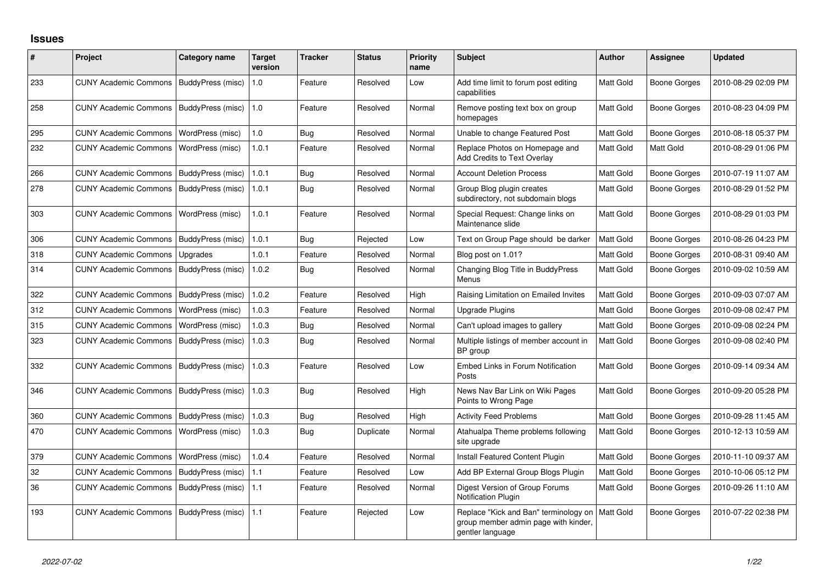## **Issues**

| #   | Project                      | Category name     | <b>Target</b><br>version | <b>Tracker</b> | <b>Status</b> | <b>Priority</b><br>name | <b>Subject</b>                                                                                    | <b>Author</b> | <b>Assignee</b>     | <b>Updated</b>      |
|-----|------------------------------|-------------------|--------------------------|----------------|---------------|-------------------------|---------------------------------------------------------------------------------------------------|---------------|---------------------|---------------------|
| 233 | <b>CUNY Academic Commons</b> | BuddyPress (misc) | 1.0                      | Feature        | Resolved      | Low                     | Add time limit to forum post editing<br>capabilities                                              | Matt Gold     | <b>Boone Gorges</b> | 2010-08-29 02:09 PM |
| 258 | <b>CUNY Academic Commons</b> | BuddyPress (misc) | 1.0                      | Feature        | Resolved      | Normal                  | Remove posting text box on group<br>homepages                                                     | Matt Gold     | <b>Boone Gorges</b> | 2010-08-23 04:09 PM |
| 295 | <b>CUNY Academic Commons</b> | WordPress (misc)  | 1.0                      | <b>Bug</b>     | Resolved      | Normal                  | Unable to change Featured Post                                                                    | Matt Gold     | <b>Boone Gorges</b> | 2010-08-18 05:37 PM |
| 232 | <b>CUNY Academic Commons</b> | WordPress (misc)  | 1.0.1                    | Feature        | Resolved      | Normal                  | Replace Photos on Homepage and<br><b>Add Credits to Text Overlay</b>                              | Matt Gold     | Matt Gold           | 2010-08-29 01:06 PM |
| 266 | <b>CUNY Academic Commons</b> | BuddyPress (misc) | 1.0.1                    | Bug            | Resolved      | Normal                  | <b>Account Deletion Process</b>                                                                   | Matt Gold     | <b>Boone Gorges</b> | 2010-07-19 11:07 AM |
| 278 | <b>CUNY Academic Commons</b> | BuddyPress (misc) | 1.0.1                    | Bug            | Resolved      | Normal                  | Group Blog plugin creates<br>subdirectory, not subdomain blogs                                    | Matt Gold     | <b>Boone Gorges</b> | 2010-08-29 01:52 PM |
| 303 | <b>CUNY Academic Commons</b> | WordPress (misc)  | 1.0.1                    | Feature        | Resolved      | Normal                  | Special Request: Change links on<br>Maintenance slide                                             | Matt Gold     | <b>Boone Gorges</b> | 2010-08-29 01:03 PM |
| 306 | <b>CUNY Academic Commons</b> | BuddyPress (misc) | 1.0.1                    | Bug            | Rejected      | Low                     | Text on Group Page should be darker                                                               | Matt Gold     | <b>Boone Gorges</b> | 2010-08-26 04:23 PM |
| 318 | <b>CUNY Academic Commons</b> | Upgrades          | 1.0.1                    | Feature        | Resolved      | Normal                  | Blog post on 1.01?                                                                                | Matt Gold     | <b>Boone Gorges</b> | 2010-08-31 09:40 AM |
| 314 | <b>CUNY Academic Commons</b> | BuddyPress (misc) | 1.0.2                    | Bug            | Resolved      | Normal                  | Changing Blog Title in BuddyPress<br>Menus                                                        | Matt Gold     | Boone Gorges        | 2010-09-02 10:59 AM |
| 322 | <b>CUNY Academic Commons</b> | BuddyPress (misc) | 1.0.2                    | Feature        | Resolved      | High                    | Raising Limitation on Emailed Invites                                                             | Matt Gold     | <b>Boone Gorges</b> | 2010-09-03 07:07 AM |
| 312 | <b>CUNY Academic Commons</b> | WordPress (misc)  | 1.0.3                    | Feature        | Resolved      | Normal                  | Upgrade Plugins                                                                                   | Matt Gold     | <b>Boone Gorges</b> | 2010-09-08 02:47 PM |
| 315 | <b>CUNY Academic Commons</b> | WordPress (misc)  | 1.0.3                    | Bug            | Resolved      | Normal                  | Can't upload images to gallery                                                                    | Matt Gold     | <b>Boone Gorges</b> | 2010-09-08 02:24 PM |
| 323 | <b>CUNY Academic Commons</b> | BuddyPress (misc) | 1.0.3                    | Bug            | Resolved      | Normal                  | Multiple listings of member account in<br>BP group                                                | Matt Gold     | <b>Boone Gorges</b> | 2010-09-08 02:40 PM |
| 332 | <b>CUNY Academic Commons</b> | BuddyPress (misc) | 1.0.3                    | Feature        | Resolved      | Low                     | Embed Links in Forum Notification<br>Posts                                                        | Matt Gold     | <b>Boone Gorges</b> | 2010-09-14 09:34 AM |
| 346 | <b>CUNY Academic Commons</b> | BuddyPress (misc) | 1.0.3                    | Bug            | Resolved      | High                    | News Nav Bar Link on Wiki Pages<br>Points to Wrong Page                                           | Matt Gold     | <b>Boone Gorges</b> | 2010-09-20 05:28 PM |
| 360 | <b>CUNY Academic Commons</b> | BuddyPress (misc) | 1.0.3                    | Bug            | Resolved      | High                    | <b>Activity Feed Problems</b>                                                                     | Matt Gold     | Boone Gorges        | 2010-09-28 11:45 AM |
| 470 | <b>CUNY Academic Commons</b> | WordPress (misc)  | 1.0.3                    | Bug            | Duplicate     | Normal                  | Atahualpa Theme problems following<br>site upgrade                                                | Matt Gold     | Boone Gorges        | 2010-12-13 10:59 AM |
| 379 | <b>CUNY Academic Commons</b> | WordPress (misc)  | 1.0.4                    | Feature        | Resolved      | Normal                  | Install Featured Content Plugin                                                                   | Matt Gold     | <b>Boone Gorges</b> | 2010-11-10 09:37 AM |
| 32  | <b>CUNY Academic Commons</b> | BuddyPress (misc) | 1.1                      | Feature        | Resolved      | Low                     | Add BP External Group Blogs Plugin                                                                | Matt Gold     | <b>Boone Gorges</b> | 2010-10-06 05:12 PM |
| 36  | <b>CUNY Academic Commons</b> | BuddyPress (misc) | 1.1                      | Feature        | Resolved      | Normal                  | Digest Version of Group Forums<br>Notification Plugin                                             | Matt Gold     | <b>Boone Gorges</b> | 2010-09-26 11:10 AM |
| 193 | <b>CUNY Academic Commons</b> | BuddyPress (misc) | 1.1                      | Feature        | Rejected      | Low                     | Replace "Kick and Ban" terminology on<br>group member admin page with kinder,<br>gentler language | Matt Gold     | <b>Boone Gorges</b> | 2010-07-22 02:38 PM |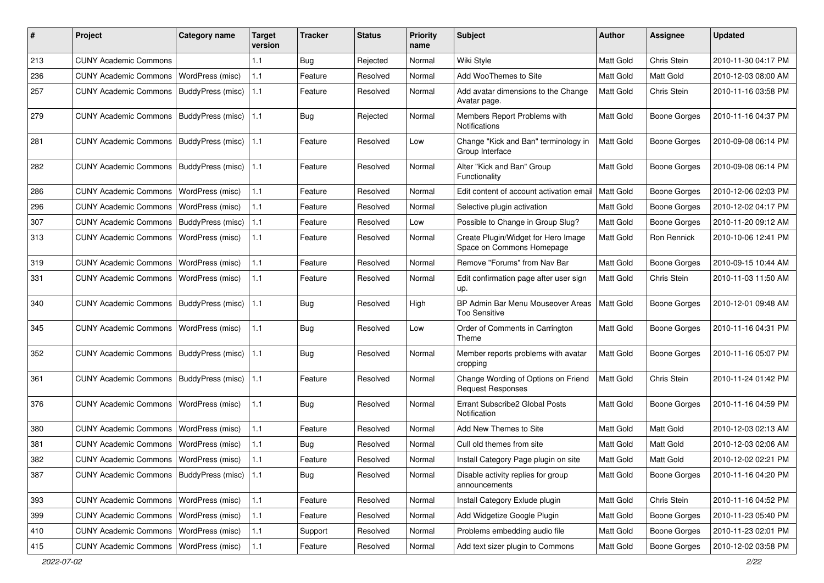| #   | Project                                  | <b>Category name</b>    | <b>Target</b><br>version | <b>Tracker</b> | <b>Status</b> | <b>Priority</b><br>name | <b>Subject</b>                                                   | Author           | <b>Assignee</b>     | <b>Updated</b>      |
|-----|------------------------------------------|-------------------------|--------------------------|----------------|---------------|-------------------------|------------------------------------------------------------------|------------------|---------------------|---------------------|
| 213 | <b>CUNY Academic Commons</b>             |                         | 1.1                      | <b>Bug</b>     | Rejected      | Normal                  | Wiki Style                                                       | Matt Gold        | Chris Stein         | 2010-11-30 04:17 PM |
| 236 | <b>CUNY Academic Commons</b>             | <b>WordPress (misc)</b> | 1.1                      | Feature        | Resolved      | Normal                  | Add WooThemes to Site                                            | Matt Gold        | Matt Gold           | 2010-12-03 08:00 AM |
| 257 | <b>CUNY Academic Commons</b>             | BuddyPress (misc)       | 1.1                      | Feature        | Resolved      | Normal                  | Add avatar dimensions to the Change<br>Avatar page.              | Matt Gold        | Chris Stein         | 2010-11-16 03:58 PM |
| 279 | <b>CUNY Academic Commons</b>             | BuddyPress (misc)       | 1.1                      | Bug            | Rejected      | Normal                  | Members Report Problems with<br>Notifications                    | Matt Gold        | <b>Boone Gorges</b> | 2010-11-16 04:37 PM |
| 281 | <b>CUNY Academic Commons</b>             | BuddyPress (misc)       | 1.1                      | Feature        | Resolved      | Low                     | Change "Kick and Ban" terminology in<br>Group Interface          | Matt Gold        | <b>Boone Gorges</b> | 2010-09-08 06:14 PM |
| 282 | <b>CUNY Academic Commons</b>             | BuddyPress (misc)       | 1.1                      | Feature        | Resolved      | Normal                  | Alter "Kick and Ban" Group<br>Functionality                      | Matt Gold        | <b>Boone Gorges</b> | 2010-09-08 06:14 PM |
| 286 | <b>CUNY Academic Commons</b>             | WordPress (misc)        | 1.1                      | Feature        | Resolved      | Normal                  | Edit content of account activation email                         | Matt Gold        | Boone Gorges        | 2010-12-06 02:03 PM |
| 296 | <b>CUNY Academic Commons</b>             | WordPress (misc)        | 1.1                      | Feature        | Resolved      | Normal                  | Selective plugin activation                                      | Matt Gold        | <b>Boone Gorges</b> | 2010-12-02 04:17 PM |
| 307 | <b>CUNY Academic Commons</b>             | BuddyPress (misc)       | 1.1                      | Feature        | Resolved      | Low                     | Possible to Change in Group Slug?                                | Matt Gold        | <b>Boone Gorges</b> | 2010-11-20 09:12 AM |
| 313 | <b>CUNY Academic Commons</b>             | WordPress (misc)        | 1.1                      | Feature        | Resolved      | Normal                  | Create Plugin/Widget for Hero Image<br>Space on Commons Homepage | Matt Gold        | Ron Rennick         | 2010-10-06 12:41 PM |
| 319 | <b>CUNY Academic Commons</b>             | WordPress (misc)        | 1.1                      | Feature        | Resolved      | Normal                  | Remove "Forums" from Nav Bar                                     | Matt Gold        | <b>Boone Gorges</b> | 2010-09-15 10:44 AM |
| 331 | <b>CUNY Academic Commons</b>             | WordPress (misc)        | 1.1                      | Feature        | Resolved      | Normal                  | Edit confirmation page after user sign<br>up.                    | Matt Gold        | Chris Stein         | 2010-11-03 11:50 AM |
| 340 | <b>CUNY Academic Commons</b>             | BuddyPress (misc)       | 1.1                      | Bug            | Resolved      | High                    | BP Admin Bar Menu Mouseover Areas<br>Too Sensitive               | Matt Gold        | Boone Gorges        | 2010-12-01 09:48 AM |
| 345 | <b>CUNY Academic Commons</b>             | <b>WordPress (misc)</b> | 1.1                      | <b>Bug</b>     | Resolved      | Low                     | Order of Comments in Carrington<br>Theme                         | Matt Gold        | <b>Boone Gorges</b> | 2010-11-16 04:31 PM |
| 352 | <b>CUNY Academic Commons</b>             | BuddyPress (misc)       | 1.1                      | Bug            | Resolved      | Normal                  | Member reports problems with avatar<br>cropping                  | <b>Matt Gold</b> | Boone Gorges        | 2010-11-16 05:07 PM |
| 361 | <b>CUNY Academic Commons</b>             | BuddyPress (misc)       | 1.1                      | Feature        | Resolved      | Normal                  | Change Wording of Options on Friend<br><b>Request Responses</b>  | Matt Gold        | Chris Stein         | 2010-11-24 01:42 PM |
| 376 | <b>CUNY Academic Commons</b>             | WordPress (misc)        | 1.1                      | Bug            | Resolved      | Normal                  | Errant Subscribe2 Global Posts<br>Notification                   | Matt Gold        | Boone Gorges        | 2010-11-16 04:59 PM |
| 380 | <b>CUNY Academic Commons</b>             | <b>WordPress (misc)</b> | 1.1                      | Feature        | Resolved      | Normal                  | Add New Themes to Site                                           | Matt Gold        | Matt Gold           | 2010-12-03 02:13 AM |
| 381 | <b>CUNY Academic Commons</b>             | WordPress (misc)        | 1.1                      | <b>Bug</b>     | Resolved      | Normal                  | Cull old themes from site                                        | Matt Gold        | Matt Gold           | 2010-12-03 02:06 AM |
| 382 | CUNY Academic Commons   WordPress (misc) |                         | 1.1                      | Feature        | Resolved      | Normal                  | Install Category Page plugin on site                             | Matt Gold        | Matt Gold           | 2010-12-02 02:21 PM |
| 387 | <b>CUNY Academic Commons</b>             | BuddyPress (misc)       | 1.1                      | Bug            | Resolved      | Normal                  | Disable activity replies for group<br>announcements              | Matt Gold        | <b>Boone Gorges</b> | 2010-11-16 04:20 PM |
| 393 | <b>CUNY Academic Commons</b>             | WordPress (misc)        | $1.1$                    | Feature        | Resolved      | Normal                  | Install Category Exlude plugin                                   | Matt Gold        | Chris Stein         | 2010-11-16 04:52 PM |
| 399 | <b>CUNY Academic Commons</b>             | WordPress (misc)        | 1.1                      | Feature        | Resolved      | Normal                  | Add Widgetize Google Plugin                                      | Matt Gold        | Boone Gorges        | 2010-11-23 05:40 PM |
| 410 | CUNY Academic Commons   WordPress (misc) |                         | $1.1$                    | Support        | Resolved      | Normal                  | Problems embedding audio file                                    | Matt Gold        | Boone Gorges        | 2010-11-23 02:01 PM |
| 415 | CUNY Academic Commons   WordPress (misc) |                         | $1.1$                    | Feature        | Resolved      | Normal                  | Add text sizer plugin to Commons                                 | Matt Gold        | Boone Gorges        | 2010-12-02 03:58 PM |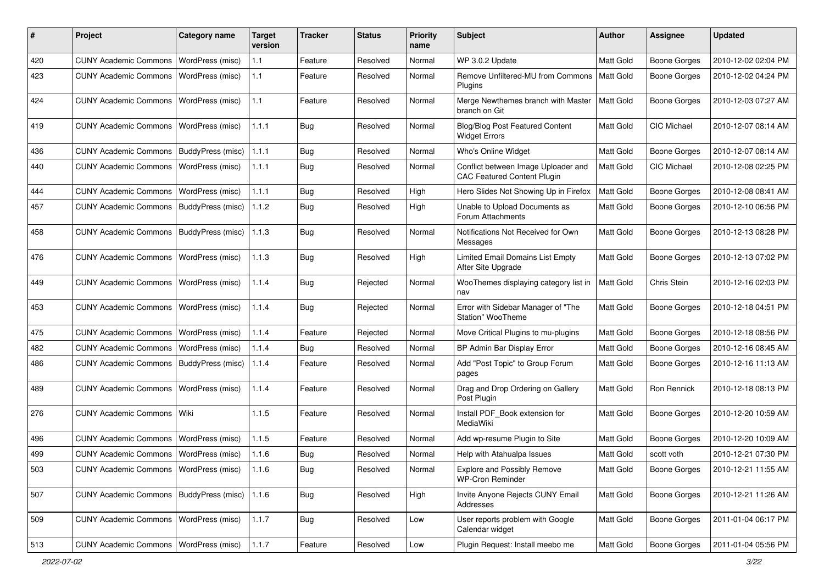| #   | Project                                  | <b>Category name</b>    | <b>Target</b><br>version | <b>Tracker</b> | <b>Status</b> | <b>Priority</b><br>name | <b>Subject</b>                                                            | Author           | <b>Assignee</b>     | <b>Updated</b>      |
|-----|------------------------------------------|-------------------------|--------------------------|----------------|---------------|-------------------------|---------------------------------------------------------------------------|------------------|---------------------|---------------------|
| 420 | <b>CUNY Academic Commons</b>             | WordPress (misc)        | 1.1                      | Feature        | Resolved      | Normal                  | WP 3.0.2 Update                                                           | Matt Gold        | <b>Boone Gorges</b> | 2010-12-02 02:04 PM |
| 423 | <b>CUNY Academic Commons</b>             | WordPress (misc)        | 1.1                      | Feature        | Resolved      | Normal                  | Remove Unfiltered-MU from Commons<br>Plugins                              | <b>Matt Gold</b> | <b>Boone Gorges</b> | 2010-12-02 04:24 PM |
| 424 | <b>CUNY Academic Commons</b>             | WordPress (misc)        | 1.1                      | Feature        | Resolved      | Normal                  | Merge Newthemes branch with Master<br>branch on Git                       | <b>Matt Gold</b> | <b>Boone Gorges</b> | 2010-12-03 07:27 AM |
| 419 | <b>CUNY Academic Commons</b>             | <b>WordPress (misc)</b> | 1.1.1                    | Bug            | Resolved      | Normal                  | <b>Blog/Blog Post Featured Content</b><br><b>Widget Errors</b>            | <b>Matt Gold</b> | CIC Michael         | 2010-12-07 08:14 AM |
| 436 | <b>CUNY Academic Commons</b>             | BuddyPress (misc)       | 1.1.1                    | Bug            | Resolved      | Normal                  | Who's Online Widget                                                       | Matt Gold        | <b>Boone Gorges</b> | 2010-12-07 08:14 AM |
| 440 | <b>CUNY Academic Commons</b>             | <b>WordPress (misc)</b> | 1.1.1                    | Bug            | Resolved      | Normal                  | Conflict between Image Uploader and<br><b>CAC Featured Content Plugin</b> | Matt Gold        | <b>CIC Michael</b>  | 2010-12-08 02:25 PM |
| 444 | <b>CUNY Academic Commons</b>             | WordPress (misc)        | 1.1.1                    | Bug            | Resolved      | High                    | Hero Slides Not Showing Up in Firefox                                     | Matt Gold        | <b>Boone Gorges</b> | 2010-12-08 08:41 AM |
| 457 | <b>CUNY Academic Commons</b>             | BuddyPress (misc)       | 1.1.2                    | Bug            | Resolved      | High                    | Unable to Upload Documents as<br>Forum Attachments                        | Matt Gold        | <b>Boone Gorges</b> | 2010-12-10 06:56 PM |
| 458 | <b>CUNY Academic Commons</b>             | BuddyPress (misc)       | 1.1.3                    | Bug            | Resolved      | Normal                  | Notifications Not Received for Own<br>Messages                            | Matt Gold        | <b>Boone Gorges</b> | 2010-12-13 08:28 PM |
| 476 | <b>CUNY Academic Commons</b>             | WordPress (misc)        | 1.1.3                    | Bug            | Resolved      | High                    | Limited Email Domains List Empty<br>After Site Upgrade                    | Matt Gold        | Boone Gorges        | 2010-12-13 07:02 PM |
| 449 | <b>CUNY Academic Commons</b>             | <b>WordPress (misc)</b> | 1.1.4                    | Bug            | Rejected      | Normal                  | WooThemes displaying category list in<br>nav                              | <b>Matt Gold</b> | Chris Stein         | 2010-12-16 02:03 PM |
| 453 | <b>CUNY Academic Commons</b>             | WordPress (misc)        | 1.1.4                    | Bug            | Rejected      | Normal                  | Error with Sidebar Manager of "The<br>Station" WooTheme                   | Matt Gold        | <b>Boone Gorges</b> | 2010-12-18 04:51 PM |
| 475 | <b>CUNY Academic Commons</b>             | WordPress (misc)        | 1.1.4                    | Feature        | Rejected      | Normal                  | Move Critical Plugins to mu-plugins                                       | Matt Gold        | <b>Boone Gorges</b> | 2010-12-18 08:56 PM |
| 482 | <b>CUNY Academic Commons</b>             | WordPress (misc)        | 1.1.4                    | Bug            | Resolved      | Normal                  | BP Admin Bar Display Error                                                | Matt Gold        | <b>Boone Gorges</b> | 2010-12-16 08:45 AM |
| 486 | <b>CUNY Academic Commons</b>             | BuddyPress (misc)       | 1.1.4                    | Feature        | Resolved      | Normal                  | Add "Post Topic" to Group Forum<br>pages                                  | <b>Matt Gold</b> | Boone Gorges        | 2010-12-16 11:13 AM |
| 489 | <b>CUNY Academic Commons</b>             | <b>WordPress (misc)</b> | 1.1.4                    | Feature        | Resolved      | Normal                  | Drag and Drop Ordering on Gallery<br>Post Plugin                          | Matt Gold        | Ron Rennick         | 2010-12-18 08:13 PM |
| 276 | <b>CUNY Academic Commons</b>             | Wiki                    | 1.1.5                    | Feature        | Resolved      | Normal                  | Install PDF_Book extension for<br>MediaWiki                               | Matt Gold        | <b>Boone Gorges</b> | 2010-12-20 10:59 AM |
| 496 | <b>CUNY Academic Commons</b>             | WordPress (misc)        | 1.1.5                    | Feature        | Resolved      | Normal                  | Add wp-resume Plugin to Site                                              | Matt Gold        | Boone Gorges        | 2010-12-20 10:09 AM |
| 499 | <b>CUNY Academic Commons</b>             | WordPress (misc)        | 1.1.6                    | <b>Bug</b>     | Resolved      | Normal                  | Help with Atahualpa Issues                                                | <b>Matt Gold</b> | scott voth          | 2010-12-21 07:30 PM |
| 503 | CUNY Academic Commons   WordPress (misc) |                         | 1.1.6                    | Bug            | Resolved      | Normal                  | <b>Explore and Possibly Remove</b><br><b>WP-Cron Reminder</b>             | Matt Gold        | <b>Boone Gorges</b> | 2010-12-21 11:55 AM |
| 507 | <b>CUNY Academic Commons</b>             | BuddyPress (misc)       | 1.1.6                    | Bug            | Resolved      | High                    | Invite Anyone Rejects CUNY Email<br>Addresses                             | Matt Gold        | <b>Boone Gorges</b> | 2010-12-21 11:26 AM |
| 509 | CUNY Academic Commons   WordPress (misc) |                         | 1.1.7                    | Bug            | Resolved      | Low                     | User reports problem with Google<br>Calendar widget                       | Matt Gold        | <b>Boone Gorges</b> | 2011-01-04 06:17 PM |
| 513 | CUNY Academic Commons   WordPress (misc) |                         | 1.1.7                    | Feature        | Resolved      | Low                     | Plugin Request: Install meebo me                                          | Matt Gold        | Boone Gorges        | 2011-01-04 05:56 PM |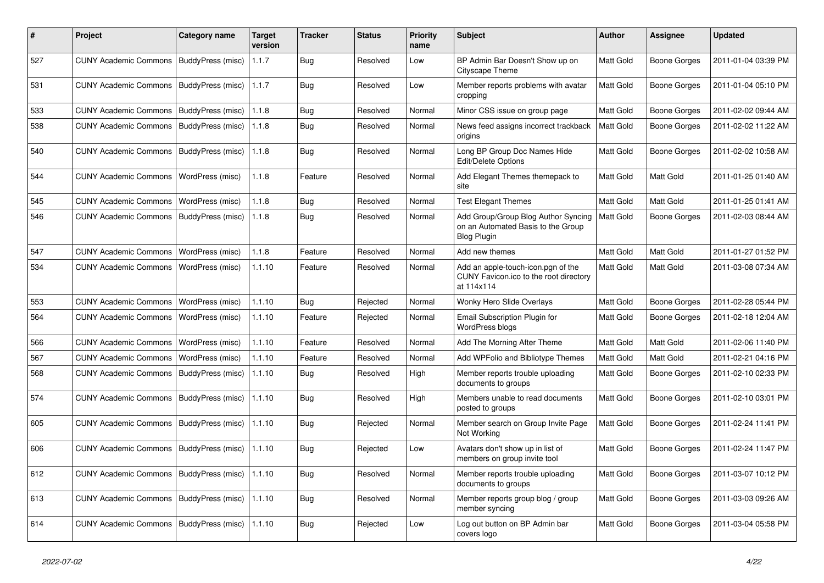| #   | Project                                            | <b>Category name</b>     | <b>Target</b><br>version | <b>Tracker</b> | <b>Status</b> | <b>Priority</b><br>name | <b>Subject</b>                                                                                  | <b>Author</b>    | <b>Assignee</b>     | <b>Updated</b>      |
|-----|----------------------------------------------------|--------------------------|--------------------------|----------------|---------------|-------------------------|-------------------------------------------------------------------------------------------------|------------------|---------------------|---------------------|
| 527 | <b>CUNY Academic Commons</b>                       | BuddyPress (misc)        | 1.1.7                    | <b>Bug</b>     | Resolved      | Low                     | BP Admin Bar Doesn't Show up on<br>Cityscape Theme                                              | Matt Gold        | <b>Boone Gorges</b> | 2011-01-04 03:39 PM |
| 531 | <b>CUNY Academic Commons</b>                       | BuddyPress (misc)        | 1.1.7                    | <b>Bug</b>     | Resolved      | Low                     | Member reports problems with avatar<br>cropping                                                 | Matt Gold        | <b>Boone Gorges</b> | 2011-01-04 05:10 PM |
| 533 | <b>CUNY Academic Commons</b>                       | BuddyPress (misc)        | 1.1.8                    | Bug            | Resolved      | Normal                  | Minor CSS issue on group page                                                                   | Matt Gold        | <b>Boone Gorges</b> | 2011-02-02 09:44 AM |
| 538 | <b>CUNY Academic Commons</b>                       | BuddyPress (misc)        | 1.1.8                    | Bug            | Resolved      | Normal                  | News feed assigns incorrect trackback<br>origins                                                | Matt Gold        | <b>Boone Gorges</b> | 2011-02-02 11:22 AM |
| 540 | <b>CUNY Academic Commons</b>                       | BuddyPress (misc)        | 1.1.8                    | Bug            | Resolved      | Normal                  | Long BP Group Doc Names Hide<br>Edit/Delete Options                                             | Matt Gold        | Boone Gorges        | 2011-02-02 10:58 AM |
| 544 | <b>CUNY Academic Commons</b>                       | WordPress (misc)         | 1.1.8                    | Feature        | Resolved      | Normal                  | Add Elegant Themes themepack to<br>site                                                         | Matt Gold        | Matt Gold           | 2011-01-25 01:40 AM |
| 545 | <b>CUNY Academic Commons</b>                       | WordPress (misc)         | 1.1.8                    | Bug            | Resolved      | Normal                  | <b>Test Elegant Themes</b>                                                                      | Matt Gold        | Matt Gold           | 2011-01-25 01:41 AM |
| 546 | <b>CUNY Academic Commons</b>                       | BuddyPress (misc)        | 1.1.8                    | Bug            | Resolved      | Normal                  | Add Group/Group Blog Author Syncing<br>on an Automated Basis to the Group<br><b>Blog Plugin</b> | Matt Gold        | <b>Boone Gorges</b> | 2011-02-03 08:44 AM |
| 547 | <b>CUNY Academic Commons</b>                       | WordPress (misc)         | 1.1.8                    | Feature        | Resolved      | Normal                  | Add new themes                                                                                  | Matt Gold        | Matt Gold           | 2011-01-27 01:52 PM |
| 534 | <b>CUNY Academic Commons</b>                       | WordPress (misc)         | 1.1.10                   | Feature        | Resolved      | Normal                  | Add an apple-touch-icon.pgn of the<br>CUNY Favicon.ico to the root directory<br>at 114x114      | <b>Matt Gold</b> | <b>Matt Gold</b>    | 2011-03-08 07:34 AM |
| 553 | <b>CUNY Academic Commons</b>                       | WordPress (misc)         | 1.1.10                   | Bug            | Rejected      | Normal                  | Wonky Hero Slide Overlays                                                                       | Matt Gold        | <b>Boone Gorges</b> | 2011-02-28 05:44 PM |
| 564 | <b>CUNY Academic Commons</b>                       | WordPress (misc)         | 1.1.10                   | Feature        | Rejected      | Normal                  | Email Subscription Plugin for<br>WordPress blogs                                                | Matt Gold        | <b>Boone Gorges</b> | 2011-02-18 12:04 AM |
| 566 | <b>CUNY Academic Commons</b>                       | WordPress (misc)         | 1.1.10                   | Feature        | Resolved      | Normal                  | Add The Morning After Theme                                                                     | <b>Matt Gold</b> | Matt Gold           | 2011-02-06 11:40 PM |
| 567 | <b>CUNY Academic Commons</b>                       | WordPress (misc)         | 1.1.10                   | Feature        | Resolved      | Normal                  | Add WPFolio and Bibliotype Themes                                                               | Matt Gold        | <b>Matt Gold</b>    | 2011-02-21 04:16 PM |
| 568 | <b>CUNY Academic Commons</b>                       | BuddyPress (misc)        | 1.1.10                   | Bug            | Resolved      | High                    | Member reports trouble uploading<br>documents to groups                                         | Matt Gold        | <b>Boone Gorges</b> | 2011-02-10 02:33 PM |
| 574 | <b>CUNY Academic Commons</b>                       | <b>BuddyPress (misc)</b> | 1.1.10                   | Bug            | Resolved      | High                    | Members unable to read documents<br>posted to groups                                            | Matt Gold        | Boone Gorges        | 2011-02-10 03:01 PM |
| 605 | <b>CUNY Academic Commons</b>                       | BuddyPress (misc)        | 1.1.10                   | Bug            | Rejected      | Normal                  | Member search on Group Invite Page<br>Not Working                                               | Matt Gold        | Boone Gorges        | 2011-02-24 11:41 PM |
| 606 | <b>CUNY Academic Commons</b>                       | BuddyPress (misc)        | 1.1.10                   | Bug            | Rejected      | Low                     | Avatars don't show up in list of<br>members on group invite tool                                | Matt Gold        | Boone Gorges        | 2011-02-24 11:47 PM |
| 612 | CUNY Academic Commons   BuddyPress (misc)   1.1.10 |                          |                          | Bug            | Resolved      | Normal                  | Member reports trouble uploading<br>documents to groups                                         | Matt Gold        | <b>Boone Gorges</b> | 2011-03-07 10:12 PM |
| 613 | CUNY Academic Commons   BuddyPress (misc)          |                          | 1.1.10                   | Bug            | Resolved      | Normal                  | Member reports group blog / group<br>member syncing                                             | Matt Gold        | Boone Gorges        | 2011-03-03 09:26 AM |
| 614 | CUNY Academic Commons   BuddyPress (misc)   1.1.10 |                          |                          | Bug            | Rejected      | Low                     | Log out button on BP Admin bar<br>covers logo                                                   | Matt Gold        | Boone Gorges        | 2011-03-04 05:58 PM |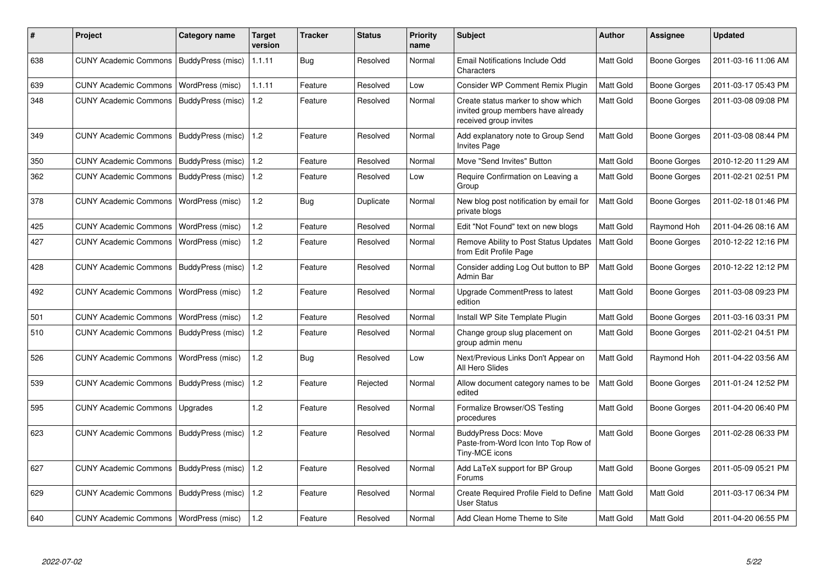| #   | Project                                   | Category name            | <b>Target</b><br>version | <b>Tracker</b> | <b>Status</b> | <b>Priority</b><br>name | <b>Subject</b>                                                                                     | <b>Author</b>    | Assignee            | <b>Updated</b>      |
|-----|-------------------------------------------|--------------------------|--------------------------|----------------|---------------|-------------------------|----------------------------------------------------------------------------------------------------|------------------|---------------------|---------------------|
| 638 | CUNY Academic Commons   BuddyPress (misc) |                          | 1.1.11                   | Bug            | Resolved      | Normal                  | Email Notifications Include Odd<br>Characters                                                      | Matt Gold        | Boone Gorges        | 2011-03-16 11:06 AM |
| 639 | <b>CUNY Academic Commons</b>              | WordPress (misc)         | 1.1.11                   | Feature        | Resolved      | Low                     | Consider WP Comment Remix Plugin                                                                   | Matt Gold        | Boone Gorges        | 2011-03-17 05:43 PM |
| 348 | <b>CUNY Academic Commons</b>              | BuddyPress (misc)        | 1.2                      | Feature        | Resolved      | Normal                  | Create status marker to show which<br>invited group members have already<br>received group invites | Matt Gold        | Boone Gorges        | 2011-03-08 09:08 PM |
| 349 | <b>CUNY Academic Commons</b>              | BuddyPress (misc)        | 1.2                      | Feature        | Resolved      | Normal                  | Add explanatory note to Group Send<br><b>Invites Page</b>                                          | Matt Gold        | Boone Gorges        | 2011-03-08 08:44 PM |
| 350 | <b>CUNY Academic Commons</b>              | BuddyPress (misc)        | 1.2                      | Feature        | Resolved      | Normal                  | Move "Send Invites" Button                                                                         | Matt Gold        | <b>Boone Gorges</b> | 2010-12-20 11:29 AM |
| 362 | <b>CUNY Academic Commons</b>              | BuddyPress (misc)        | 1.2                      | Feature        | Resolved      | Low                     | Require Confirmation on Leaving a<br>Group                                                         | Matt Gold        | Boone Gorges        | 2011-02-21 02:51 PM |
| 378 | <b>CUNY Academic Commons</b>              | WordPress (misc)         | 1.2                      | Bug            | Duplicate     | Normal                  | New blog post notification by email for<br>private blogs                                           | Matt Gold        | Boone Gorges        | 2011-02-18 01:46 PM |
| 425 | <b>CUNY Academic Commons</b>              | WordPress (misc)         | 1.2                      | Feature        | Resolved      | Normal                  | Edit "Not Found" text on new blogs                                                                 | Matt Gold        | Raymond Hoh         | 2011-04-26 08:16 AM |
| 427 | <b>CUNY Academic Commons</b>              | WordPress (misc)         | 1.2                      | Feature        | Resolved      | Normal                  | Remove Ability to Post Status Updates<br>from Edit Profile Page                                    | Matt Gold        | Boone Gorges        | 2010-12-22 12:16 PM |
| 428 | <b>CUNY Academic Commons</b>              | BuddyPress (misc)        | 1.2                      | Feature        | Resolved      | Normal                  | Consider adding Log Out button to BP<br>Admin Bar                                                  | Matt Gold        | Boone Gorges        | 2010-12-22 12:12 PM |
| 492 | <b>CUNY Academic Commons</b>              | WordPress (misc)         | 1.2                      | Feature        | Resolved      | Normal                  | Upgrade CommentPress to latest<br>edition                                                          | Matt Gold        | Boone Gorges        | 2011-03-08 09:23 PM |
| 501 | <b>CUNY Academic Commons</b>              | WordPress (misc)         | 1.2                      | Feature        | Resolved      | Normal                  | Install WP Site Template Plugin                                                                    | Matt Gold        | Boone Gorges        | 2011-03-16 03:31 PM |
| 510 | <b>CUNY Academic Commons</b>              | BuddyPress (misc)        | 1.2                      | Feature        | Resolved      | Normal                  | Change group slug placement on<br>group admin menu                                                 | <b>Matt Gold</b> | Boone Gorges        | 2011-02-21 04:51 PM |
| 526 | <b>CUNY Academic Commons</b>              | WordPress (misc)         | 1.2                      | Bug            | Resolved      | Low                     | Next/Previous Links Don't Appear on<br>All Hero Slides                                             | Matt Gold        | Raymond Hoh         | 2011-04-22 03:56 AM |
| 539 | <b>CUNY Academic Commons</b>              | BuddyPress (misc)        | 1.2                      | Feature        | Rejected      | Normal                  | Allow document category names to be<br>edited                                                      | Matt Gold        | Boone Gorges        | 2011-01-24 12:52 PM |
| 595 | <b>CUNY Academic Commons</b>              | Upgrades                 | 1.2                      | Feature        | Resolved      | Normal                  | Formalize Browser/OS Testing<br>procedures                                                         | Matt Gold        | Boone Gorges        | 2011-04-20 06:40 PM |
| 623 | <b>CUNY Academic Commons</b>              | BuddyPress (misc)        | 1.2                      | Feature        | Resolved      | Normal                  | <b>BuddyPress Docs: Move</b><br>Paste-from-Word Icon Into Top Row of<br>Tiny-MCE icons             | Matt Gold        | Boone Gorges        | 2011-02-28 06:33 PM |
| 627 | <b>CUNY Academic Commons</b>              | BuddyPress (misc)        | 1.2                      | Feature        | Resolved      | Normal                  | Add LaTeX support for BP Group<br>Forums                                                           | Matt Gold        | Boone Gorges        | 2011-05-09 05:21 PM |
| 629 | <b>CUNY Academic Commons</b>              | <b>BuddyPress (misc)</b> | 1.2                      | Feature        | Resolved      | Normal                  | Create Required Profile Field to Define<br><b>User Status</b>                                      | <b>Matt Gold</b> | Matt Gold           | 2011-03-17 06:34 PM |
| 640 | CUNY Academic Commons   WordPress (misc)  |                          | 1.2                      | Feature        | Resolved      | Normal                  | Add Clean Home Theme to Site                                                                       | Matt Gold        | Matt Gold           | 2011-04-20 06:55 PM |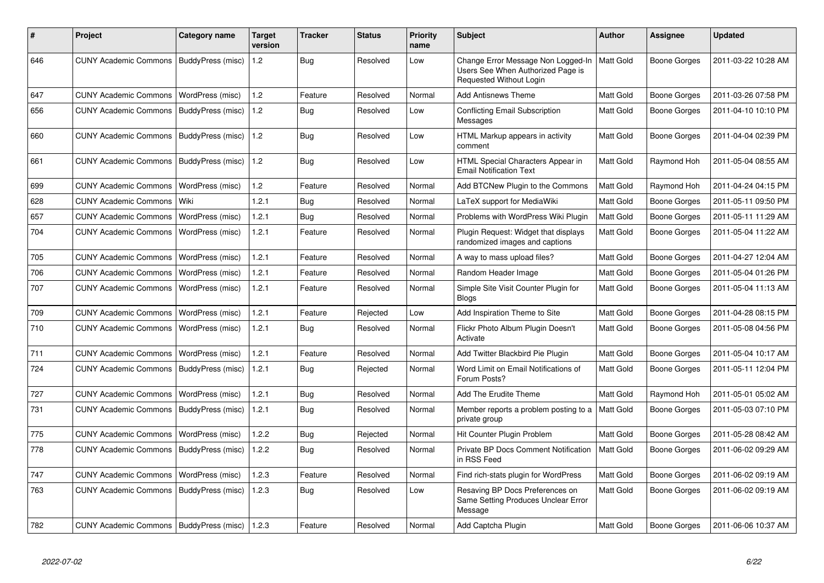| #   | <b>Project</b>                                    | Category name     | <b>Target</b><br>version | Tracker    | <b>Status</b> | <b>Priority</b><br>name | <b>Subject</b>                                                                                     | <b>Author</b>    | Assignee     | <b>Updated</b>      |
|-----|---------------------------------------------------|-------------------|--------------------------|------------|---------------|-------------------------|----------------------------------------------------------------------------------------------------|------------------|--------------|---------------------|
| 646 | CUNY Academic Commons   BuddyPress (misc)         |                   | 1.2                      | Bug        | Resolved      | Low                     | Change Error Message Non Logged-In<br>Users See When Authorized Page is<br>Requested Without Login | Matt Gold        | Boone Gorges | 2011-03-22 10:28 AM |
| 647 | <b>CUNY Academic Commons</b>                      | WordPress (misc)  | 1.2                      | Feature    | Resolved      | Normal                  | <b>Add Antisnews Theme</b>                                                                         | Matt Gold        | Boone Gorges | 2011-03-26 07:58 PM |
| 656 | <b>CUNY Academic Commons</b>                      | BuddyPress (misc) | 1.2                      | Bug        | Resolved      | Low                     | Conflicting Email Subscription<br>Messages                                                         | <b>Matt Gold</b> | Boone Gorges | 2011-04-10 10:10 PM |
| 660 | <b>CUNY Academic Commons</b>                      | BuddyPress (misc) | 1.2                      | <b>Bug</b> | Resolved      | Low                     | HTML Markup appears in activity<br>comment                                                         | <b>Matt Gold</b> | Boone Gorges | 2011-04-04 02:39 PM |
| 661 | CUNY Academic Commons   BuddyPress (misc)         |                   | 1.2                      | Bug        | Resolved      | Low                     | HTML Special Characters Appear in<br><b>Email Notification Text</b>                                | <b>Matt Gold</b> | Raymond Hoh  | 2011-05-04 08:55 AM |
| 699 | <b>CUNY Academic Commons</b>                      | WordPress (misc)  | 1.2                      | Feature    | Resolved      | Normal                  | Add BTCNew Plugin to the Commons                                                                   | <b>Matt Gold</b> | Raymond Hoh  | 2011-04-24 04:15 PM |
| 628 | <b>CUNY Academic Commons</b>                      | Wiki              | 1.2.1                    | Bug        | Resolved      | Normal                  | LaTeX support for MediaWiki                                                                        | Matt Gold        | Boone Gorges | 2011-05-11 09:50 PM |
| 657 | <b>CUNY Academic Commons</b>                      | WordPress (misc)  | 1.2.1                    | Bug        | Resolved      | Normal                  | Problems with WordPress Wiki Plugin                                                                | <b>Matt Gold</b> | Boone Gorges | 2011-05-11 11:29 AM |
| 704 | <b>CUNY Academic Commons</b>                      | WordPress (misc)  | 1.2.1                    | Feature    | Resolved      | Normal                  | Plugin Request: Widget that displays<br>randomized images and captions                             | Matt Gold        | Boone Gorges | 2011-05-04 11:22 AM |
| 705 | <b>CUNY Academic Commons</b>                      | WordPress (misc)  | 1.2.1                    | Feature    | Resolved      | Normal                  | A way to mass upload files?                                                                        | Matt Gold        | Boone Gorges | 2011-04-27 12:04 AM |
| 706 | <b>CUNY Academic Commons</b>                      | WordPress (misc)  | 1.2.1                    | Feature    | Resolved      | Normal                  | Random Header Image                                                                                | Matt Gold        | Boone Gorges | 2011-05-04 01:26 PM |
| 707 | <b>CUNY Academic Commons</b>                      | WordPress (misc)  | 1.2.1                    | Feature    | Resolved      | Normal                  | Simple Site Visit Counter Plugin for<br><b>Blogs</b>                                               | <b>Matt Gold</b> | Boone Gorges | 2011-05-04 11:13 AM |
| 709 | <b>CUNY Academic Commons</b>                      | WordPress (misc)  | 1.2.1                    | Feature    | Rejected      | Low                     | Add Inspiration Theme to Site                                                                      | <b>Matt Gold</b> | Boone Gorges | 2011-04-28 08:15 PM |
| 710 | <b>CUNY Academic Commons</b>                      | WordPress (misc)  | 1.2.1                    | Bug        | Resolved      | Normal                  | Flickr Photo Album Plugin Doesn't<br>Activate                                                      | Matt Gold        | Boone Gorges | 2011-05-08 04:56 PM |
| 711 | <b>CUNY Academic Commons</b>                      | WordPress (misc)  | 1.2.1                    | Feature    | Resolved      | Normal                  | Add Twitter Blackbird Pie Plugin                                                                   | Matt Gold        | Boone Gorges | 2011-05-04 10:17 AM |
| 724 | <b>CUNY Academic Commons</b>                      | BuddyPress (misc) | 1.2.1                    | Bug        | Rejected      | Normal                  | Word Limit on Email Notifications of<br>Forum Posts?                                               | <b>Matt Gold</b> | Boone Gorges | 2011-05-11 12:04 PM |
| 727 | <b>CUNY Academic Commons</b>                      | WordPress (misc)  | 1.2.1                    | Bug        | Resolved      | Normal                  | Add The Erudite Theme                                                                              | <b>Matt Gold</b> | Raymond Hoh  | 2011-05-01 05:02 AM |
| 731 | <b>CUNY Academic Commons</b>                      | BuddyPress (misc) | 1.2.1                    | Bug        | Resolved      | Normal                  | Member reports a problem posting to a<br>private group                                             | Matt Gold        | Boone Gorges | 2011-05-03 07:10 PM |
| 775 | <b>CUNY Academic Commons</b>                      | WordPress (misc)  | 1.2.2                    | Bug        | Rejected      | Normal                  | Hit Counter Plugin Problem                                                                         | Matt Gold        | Boone Gorges | 2011-05-28 08:42 AM |
| 778 | <b>CUNY Academic Commons</b>                      | BuddyPress (misc) | 1.2.2                    | Bug        | Resolved      | Normal                  | Private BP Docs Comment Notification<br>in RSS Feed                                                | <b>Matt Gold</b> | Boone Gorges | 2011-06-02 09:29 AM |
| 747 | <b>CUNY Academic Commons</b>                      | WordPress (misc)  | 1.2.3                    | Feature    | Resolved      | Normal                  | Find rich-stats plugin for WordPress                                                               | Matt Gold        | Boone Gorges | 2011-06-02 09:19 AM |
| 763 | <b>CUNY Academic Commons</b>                      | BuddyPress (misc) | 1.2.3                    | Bug        | Resolved      | Low                     | Resaving BP Docs Preferences on<br>Same Setting Produces Unclear Error<br>Message                  | Matt Gold        | Boone Gorges | 2011-06-02 09:19 AM |
| 782 | CUNY Academic Commons   BuddyPress (misc)   1.2.3 |                   |                          | Feature    | Resolved      | Normal                  | Add Captcha Plugin                                                                                 | Matt Gold        | Boone Gorges | 2011-06-06 10:37 AM |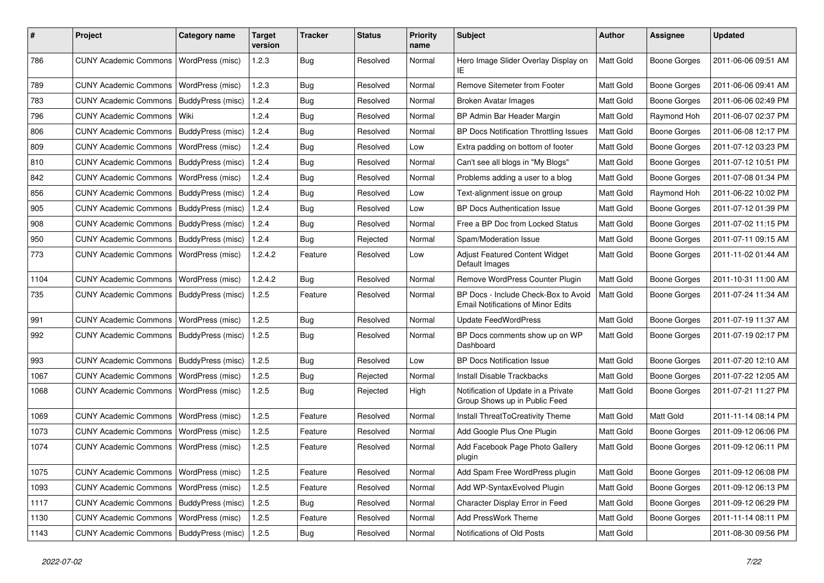| #    | Project                                   | <b>Category name</b>    | <b>Target</b><br>version | <b>Tracker</b> | <b>Status</b> | <b>Priority</b><br>name | <b>Subject</b>                                                                    | <b>Author</b> | Assignee            | <b>Updated</b>      |
|------|-------------------------------------------|-------------------------|--------------------------|----------------|---------------|-------------------------|-----------------------------------------------------------------------------------|---------------|---------------------|---------------------|
| 786  | <b>CUNY Academic Commons</b>              | WordPress (misc)        | 1.2.3                    | Bug            | Resolved      | Normal                  | Hero Image Slider Overlay Display on<br>ΙE                                        | Matt Gold     | <b>Boone Gorges</b> | 2011-06-06 09:51 AM |
| 789  | <b>CUNY Academic Commons</b>              | WordPress (misc)        | 1.2.3                    | Bug            | Resolved      | Normal                  | <b>Remove Sitemeter from Footer</b>                                               | Matt Gold     | <b>Boone Gorges</b> | 2011-06-06 09:41 AM |
| 783  | <b>CUNY Academic Commons</b>              | BuddyPress (misc)       | 1.2.4                    | Bug            | Resolved      | Normal                  | <b>Broken Avatar Images</b>                                                       | Matt Gold     | <b>Boone Gorges</b> | 2011-06-06 02:49 PM |
| 796  | <b>CUNY Academic Commons</b>              | Wiki                    | 1.2.4                    | Bug            | Resolved      | Normal                  | BP Admin Bar Header Margin                                                        | Matt Gold     | Raymond Hoh         | 2011-06-07 02:37 PM |
| 806  | <b>CUNY Academic Commons</b>              | BuddyPress (misc)       | 1.2.4                    | Bug            | Resolved      | Normal                  | BP Docs Notification Throttling Issues                                            | Matt Gold     | <b>Boone Gorges</b> | 2011-06-08 12:17 PM |
| 809  | <b>CUNY Academic Commons</b>              | WordPress (misc)        | 1.2.4                    | Bug            | Resolved      | Low                     | Extra padding on bottom of footer                                                 | Matt Gold     | <b>Boone Gorges</b> | 2011-07-12 03:23 PM |
| 810  | <b>CUNY Academic Commons</b>              | BuddyPress (misc)       | 1.2.4                    | Bug            | Resolved      | Normal                  | Can't see all blogs in "My Blogs"                                                 | Matt Gold     | <b>Boone Gorges</b> | 2011-07-12 10:51 PM |
| 842  | <b>CUNY Academic Commons</b>              | <b>WordPress (misc)</b> | 1.2.4                    | Bug            | Resolved      | Normal                  | Problems adding a user to a blog                                                  | Matt Gold     | <b>Boone Gorges</b> | 2011-07-08 01:34 PM |
| 856  | <b>CUNY Academic Commons</b>              | BuddyPress (misc)       | 1.2.4                    | Bug            | Resolved      | Low                     | Text-alignment issue on group                                                     | Matt Gold     | Raymond Hoh         | 2011-06-22 10:02 PM |
| 905  | <b>CUNY Academic Commons</b>              | BuddyPress (misc)       | 1.2.4                    | Bug            | Resolved      | Low                     | <b>BP Docs Authentication Issue</b>                                               | Matt Gold     | Boone Gorges        | 2011-07-12 01:39 PM |
| 908  | <b>CUNY Academic Commons</b>              | BuddyPress (misc)       | 1.2.4                    | Bug            | Resolved      | Normal                  | Free a BP Doc from Locked Status                                                  | Matt Gold     | <b>Boone Gorges</b> | 2011-07-02 11:15 PM |
| 950  | <b>CUNY Academic Commons</b>              | BuddyPress (misc)       | 1.2.4                    | Bug            | Rejected      | Normal                  | Spam/Moderation Issue                                                             | Matt Gold     | <b>Boone Gorges</b> | 2011-07-11 09:15 AM |
| 773  | <b>CUNY Academic Commons</b>              | WordPress (misc)        | 1.2.4.2                  | Feature        | Resolved      | Low                     | Adjust Featured Content Widget<br>Default Images                                  | Matt Gold     | Boone Gorges        | 2011-11-02 01:44 AM |
| 1104 | <b>CUNY Academic Commons</b>              | WordPress (misc)        | 1.2.4.2                  | Bug            | Resolved      | Normal                  | Remove WordPress Counter Plugin                                                   | Matt Gold     | <b>Boone Gorges</b> | 2011-10-31 11:00 AM |
| 735  | <b>CUNY Academic Commons</b>              | BuddyPress (misc)       | 1.2.5                    | Feature        | Resolved      | Normal                  | BP Docs - Include Check-Box to Avoid<br><b>Email Notifications of Minor Edits</b> | Matt Gold     | <b>Boone Gorges</b> | 2011-07-24 11:34 AM |
| 991  | <b>CUNY Academic Commons</b>              | <b>WordPress (misc)</b> | 1.2.5                    | Bug            | Resolved      | Normal                  | <b>Update FeedWordPress</b>                                                       | Matt Gold     | <b>Boone Gorges</b> | 2011-07-19 11:37 AM |
| 992  | <b>CUNY Academic Commons</b>              | BuddyPress (misc)       | 1.2.5                    | Bug            | Resolved      | Normal                  | BP Docs comments show up on WP<br>Dashboard                                       | Matt Gold     | <b>Boone Gorges</b> | 2011-07-19 02:17 PM |
| 993  | <b>CUNY Academic Commons</b>              | BuddyPress (misc)       | 1.2.5                    | Bug            | Resolved      | Low                     | <b>BP Docs Notification Issue</b>                                                 | Matt Gold     | <b>Boone Gorges</b> | 2011-07-20 12:10 AM |
| 1067 | <b>CUNY Academic Commons</b>              | WordPress (misc)        | 1.2.5                    | Bug            | Rejected      | Normal                  | <b>Install Disable Trackbacks</b>                                                 | Matt Gold     | <b>Boone Gorges</b> | 2011-07-22 12:05 AM |
| 1068 | <b>CUNY Academic Commons</b>              | WordPress (misc)        | 1.2.5                    | Bug            | Rejected      | High                    | Notification of Update in a Private<br>Group Shows up in Public Feed              | Matt Gold     | <b>Boone Gorges</b> | 2011-07-21 11:27 PM |
| 1069 | <b>CUNY Academic Commons</b>              | WordPress (misc)        | 1.2.5                    | Feature        | Resolved      | Normal                  | Install ThreatToCreativity Theme                                                  | Matt Gold     | Matt Gold           | 2011-11-14 08:14 PM |
| 1073 | <b>CUNY Academic Commons</b>              | WordPress (misc)        | 1.2.5                    | Feature        | Resolved      | Normal                  | Add Google Plus One Plugin                                                        | Matt Gold     | <b>Boone Gorges</b> | 2011-09-12 06:06 PM |
| 1074 | <b>CUNY Academic Commons</b>              | <b>WordPress (misc)</b> | 1.2.5                    | Feature        | Resolved      | Normal                  | Add Facebook Page Photo Gallery<br>plugin                                         | Matt Gold     | <b>Boone Gorges</b> | 2011-09-12 06:11 PM |
| 1075 | CUNY Academic Commons   WordPress (misc)  |                         | 1.2.5                    | Feature        | Resolved      | Normal                  | Add Spam Free WordPress plugin                                                    | Matt Gold     | <b>Boone Gorges</b> | 2011-09-12 06:08 PM |
| 1093 | <b>CUNY Academic Commons</b>              | WordPress (misc)        | 1.2.5                    | Feature        | Resolved      | Normal                  | Add WP-SyntaxEvolved Plugin                                                       | Matt Gold     | Boone Gorges        | 2011-09-12 06:13 PM |
| 1117 | CUNY Academic Commons   BuddyPress (misc) |                         | 1.2.5                    | Bug            | Resolved      | Normal                  | Character Display Error in Feed                                                   | Matt Gold     | Boone Gorges        | 2011-09-12 06:29 PM |
| 1130 | CUNY Academic Commons   WordPress (misc)  |                         | 1.2.5                    | Feature        | Resolved      | Normal                  | Add PressWork Theme                                                               | Matt Gold     | <b>Boone Gorges</b> | 2011-11-14 08:11 PM |
| 1143 | CUNY Academic Commons   BuddyPress (misc) |                         | 1.2.5                    | <b>Bug</b>     | Resolved      | Normal                  | Notifications of Old Posts                                                        | Matt Gold     |                     | 2011-08-30 09:56 PM |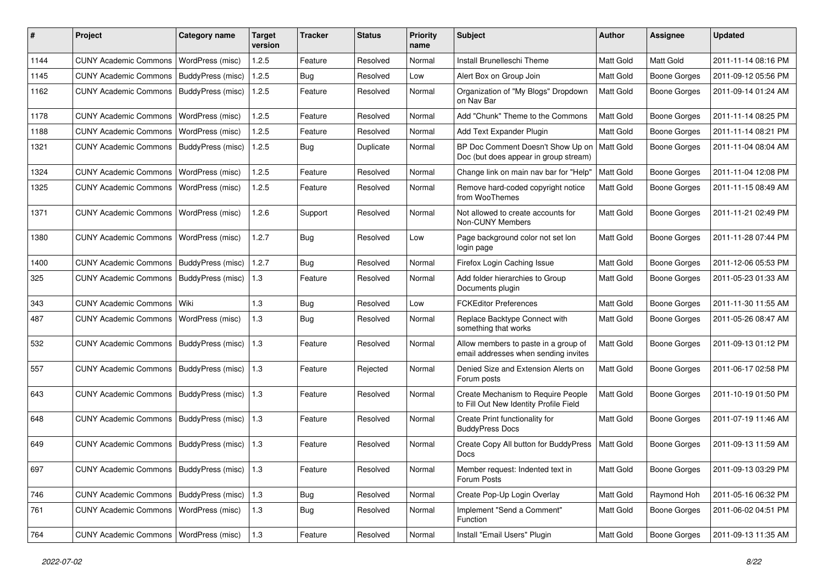| $\#$ | Project                                         | Category name     | <b>Target</b><br>version | <b>Tracker</b> | <b>Status</b> | <b>Priority</b><br>name | <b>Subject</b>                                                               | <b>Author</b>    | <b>Assignee</b>     | <b>Updated</b>      |
|------|-------------------------------------------------|-------------------|--------------------------|----------------|---------------|-------------------------|------------------------------------------------------------------------------|------------------|---------------------|---------------------|
| 1144 | <b>CUNY Academic Commons</b>                    | WordPress (misc)  | 1.2.5                    | Feature        | Resolved      | Normal                  | Install Brunelleschi Theme                                                   | <b>Matt Gold</b> | Matt Gold           | 2011-11-14 08:16 PM |
| 1145 | <b>CUNY Academic Commons</b>                    | BuddyPress (misc) | 1.2.5                    | Bug            | Resolved      | Low                     | Alert Box on Group Join                                                      | Matt Gold        | <b>Boone Gorges</b> | 2011-09-12 05:56 PM |
| 1162 | CUNY Academic Commons   BuddyPress (misc)       |                   | 1.2.5                    | Feature        | Resolved      | Normal                  | Organization of "My Blogs" Dropdown<br>on Nav Bar                            | <b>Matt Gold</b> | Boone Gorges        | 2011-09-14 01:24 AM |
| 1178 | <b>CUNY Academic Commons</b>                    | WordPress (misc)  | 1.2.5                    | Feature        | Resolved      | Normal                  | Add "Chunk" Theme to the Commons                                             | Matt Gold        | <b>Boone Gorges</b> | 2011-11-14 08:25 PM |
| 1188 | <b>CUNY Academic Commons</b>                    | WordPress (misc)  | 1.2.5                    | Feature        | Resolved      | Normal                  | Add Text Expander Plugin                                                     | Matt Gold        | <b>Boone Gorges</b> | 2011-11-14 08:21 PM |
| 1321 | <b>CUNY Academic Commons</b>                    | BuddyPress (misc) | 1.2.5                    | Bug            | Duplicate     | Normal                  | BP Doc Comment Doesn't Show Up on<br>Doc (but does appear in group stream)   | <b>Matt Gold</b> | <b>Boone Gorges</b> | 2011-11-04 08:04 AM |
| 1324 | <b>CUNY Academic Commons</b>                    | WordPress (misc)  | 1.2.5                    | Feature        | Resolved      | Normal                  | Change link on main nav bar for "Help"                                       | Matt Gold        | Boone Gorges        | 2011-11-04 12:08 PM |
| 1325 | <b>CUNY Academic Commons</b>                    | WordPress (misc)  | 1.2.5                    | Feature        | Resolved      | Normal                  | Remove hard-coded copyright notice<br>from WooThemes                         | Matt Gold        | <b>Boone Gorges</b> | 2011-11-15 08:49 AM |
| 1371 | CUNY Academic Commons   WordPress (misc)        |                   | 1.2.6                    | Support        | Resolved      | Normal                  | Not allowed to create accounts for<br>Non-CUNY Members                       | Matt Gold        | <b>Boone Gorges</b> | 2011-11-21 02:49 PM |
| 1380 | <b>CUNY Academic Commons</b>                    | WordPress (misc)  | 1.2.7                    | Bug            | Resolved      | Low                     | Page background color not set lon<br>login page                              | <b>Matt Gold</b> | <b>Boone Gorges</b> | 2011-11-28 07:44 PM |
| 1400 | <b>CUNY Academic Commons</b>                    | BuddyPress (misc) | 1.2.7                    | Bug            | Resolved      | Normal                  | Firefox Login Caching Issue                                                  | Matt Gold        | <b>Boone Gorges</b> | 2011-12-06 05:53 PM |
| 325  | CUNY Academic Commons   BuddyPress (misc)       |                   | 1.3                      | Feature        | Resolved      | Normal                  | Add folder hierarchies to Group<br>Documents plugin                          | Matt Gold        | <b>Boone Gorges</b> | 2011-05-23 01:33 AM |
| 343  | CUNY Academic Commons   Wiki                    |                   | 1.3                      | Bug            | Resolved      | Low                     | <b>FCKEditor Preferences</b>                                                 | Matt Gold        | <b>Boone Gorges</b> | 2011-11-30 11:55 AM |
| 487  | <b>CUNY Academic Commons</b>                    | WordPress (misc)  | 1.3                      | Bug            | Resolved      | Normal                  | Replace Backtype Connect with<br>something that works                        | Matt Gold        | <b>Boone Gorges</b> | 2011-05-26 08:47 AM |
| 532  | <b>CUNY Academic Commons</b>                    | BuddyPress (misc) | 1.3                      | Feature        | Resolved      | Normal                  | Allow members to paste in a group of<br>email addresses when sending invites | <b>Matt Gold</b> | <b>Boone Gorges</b> | 2011-09-13 01:12 PM |
| 557  | <b>CUNY Academic Commons</b>                    | BuddyPress (misc) | 1.3                      | Feature        | Rejected      | Normal                  | Denied Size and Extension Alerts on<br>Forum posts                           | Matt Gold        | Boone Gorges        | 2011-06-17 02:58 PM |
| 643  | CUNY Academic Commons   BuddyPress (misc)       |                   | 1.3                      | Feature        | Resolved      | Normal                  | Create Mechanism to Require People<br>to Fill Out New Identity Profile Field | Matt Gold        | <b>Boone Gorges</b> | 2011-10-19 01:50 PM |
| 648  | CUNY Academic Commons   BuddyPress (misc)       |                   | 1.3                      | Feature        | Resolved      | Normal                  | Create Print functionality for<br><b>BuddyPress Docs</b>                     | Matt Gold        | Boone Gorges        | 2011-07-19 11:46 AM |
| 649  | <b>CUNY Academic Commons</b>                    | BuddyPress (misc) | 1.3                      | Feature        | Resolved      | Normal                  | Create Copy All button for BuddyPress<br>Docs                                | Matt Gold        | Boone Gorges        | 2011-09-13 11:59 AM |
| 697  | CUNY Academic Commons   BuddyPress (misc)   1.3 |                   |                          | Feature        | Resolved      | Normal                  | Member request: Indented text in<br>Forum Posts                              | <b>Matt Gold</b> | <b>Boone Gorges</b> | 2011-09-13 03:29 PM |
| 746  | CUNY Academic Commons   BuddyPress (misc)       |                   | 1.3                      | Bug            | Resolved      | Normal                  | Create Pop-Up Login Overlay                                                  | Matt Gold        | Raymond Hoh         | 2011-05-16 06:32 PM |
| 761  | CUNY Academic Commons   WordPress (misc)        |                   | $1.3$                    | Bug            | Resolved      | Normal                  | Implement "Send a Comment"<br>Function                                       | Matt Gold        | Boone Gorges        | 2011-06-02 04:51 PM |
| 764  | CUNY Academic Commons   WordPress (misc)        |                   | 1.3                      | Feature        | Resolved      | Normal                  | Install "Email Users" Plugin                                                 | Matt Gold        | <b>Boone Gorges</b> | 2011-09-13 11:35 AM |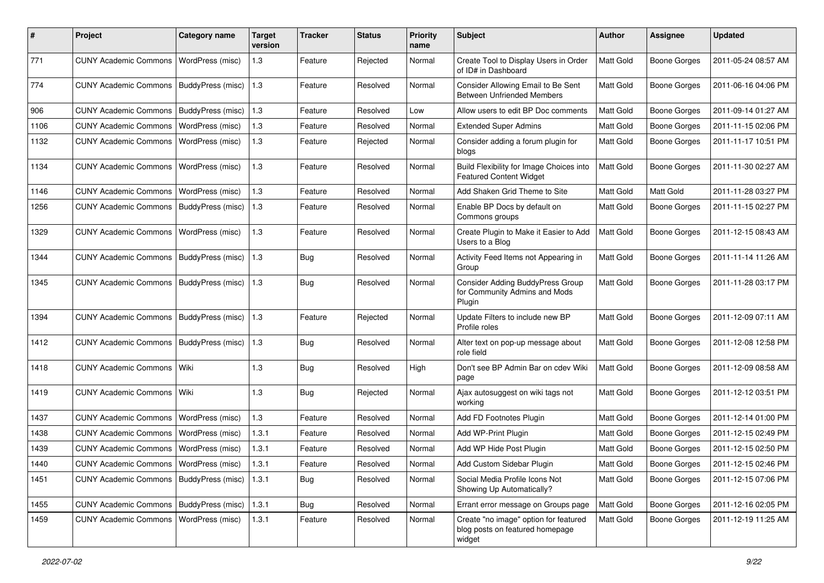| ∦    | Project                                           | <b>Category name</b>    | Target<br>version | <b>Tracker</b> | <b>Status</b> | <b>Priority</b><br>name | <b>Subject</b>                                                                     | Author    | <b>Assignee</b>     | <b>Updated</b>      |
|------|---------------------------------------------------|-------------------------|-------------------|----------------|---------------|-------------------------|------------------------------------------------------------------------------------|-----------|---------------------|---------------------|
| 771  | <b>CUNY Academic Commons</b>                      | <b>WordPress (misc)</b> | 1.3               | Feature        | Rejected      | Normal                  | Create Tool to Display Users in Order<br>of ID# in Dashboard                       | Matt Gold | <b>Boone Gorges</b> | 2011-05-24 08:57 AM |
| 774  | <b>CUNY Academic Commons</b>                      | BuddyPress (misc)       | 1.3               | Feature        | Resolved      | Normal                  | Consider Allowing Email to Be Sent<br><b>Between Unfriended Members</b>            | Matt Gold | <b>Boone Gorges</b> | 2011-06-16 04:06 PM |
| 906  | <b>CUNY Academic Commons</b>                      | BuddyPress (misc)       | 1.3               | Feature        | Resolved      | Low                     | Allow users to edit BP Doc comments                                                | Matt Gold | <b>Boone Gorges</b> | 2011-09-14 01:27 AM |
| 1106 | <b>CUNY Academic Commons</b>                      | WordPress (misc)        | 1.3               | Feature        | Resolved      | Normal                  | <b>Extended Super Admins</b>                                                       | Matt Gold | <b>Boone Gorges</b> | 2011-11-15 02:06 PM |
| 1132 | <b>CUNY Academic Commons</b>                      | WordPress (misc)        | 1.3               | Feature        | Rejected      | Normal                  | Consider adding a forum plugin for<br>blogs                                        | Matt Gold | <b>Boone Gorges</b> | 2011-11-17 10:51 PM |
| 1134 | <b>CUNY Academic Commons</b>                      | <b>WordPress (misc)</b> | 1.3               | Feature        | Resolved      | Normal                  | Build Flexibility for Image Choices into<br><b>Featured Content Widget</b>         | Matt Gold | <b>Boone Gorges</b> | 2011-11-30 02:27 AM |
| 1146 | <b>CUNY Academic Commons</b>                      | WordPress (misc)        | 1.3               | Feature        | Resolved      | Normal                  | Add Shaken Grid Theme to Site                                                      | Matt Gold | Matt Gold           | 2011-11-28 03:27 PM |
| 1256 | CUNY Academic Commons                             | BuddyPress (misc)       | 1.3               | Feature        | Resolved      | Normal                  | Enable BP Docs by default on<br>Commons groups                                     | Matt Gold | <b>Boone Gorges</b> | 2011-11-15 02:27 PM |
| 1329 | <b>CUNY Academic Commons</b>                      | WordPress (misc)        | $1.3$             | Feature        | Resolved      | Normal                  | Create Plugin to Make it Easier to Add<br>Users to a Blog                          | Matt Gold | <b>Boone Gorges</b> | 2011-12-15 08:43 AM |
| 1344 | <b>CUNY Academic Commons</b>                      | BuddyPress (misc)       | 1.3               | Bug            | Resolved      | Normal                  | Activity Feed Items not Appearing in<br>Group                                      | Matt Gold | Boone Gorges        | 2011-11-14 11:26 AM |
| 1345 | CUNY Academic Commons   BuddyPress (misc)         |                         | 1.3               | Bug            | Resolved      | Normal                  | <b>Consider Adding BuddyPress Group</b><br>for Community Admins and Mods<br>Plugin | Matt Gold | <b>Boone Gorges</b> | 2011-11-28 03:17 PM |
| 1394 | CUNY Academic Commons   BuddyPress (misc)         |                         | 1.3               | Feature        | Rejected      | Normal                  | Update Filters to include new BP<br>Profile roles                                  | Matt Gold | <b>Boone Gorges</b> | 2011-12-09 07:11 AM |
| 1412 | <b>CUNY Academic Commons</b>                      | BuddyPress (misc)       | 1.3               | Bug            | Resolved      | Normal                  | Alter text on pop-up message about<br>role field                                   | Matt Gold | <b>Boone Gorges</b> | 2011-12-08 12:58 PM |
| 1418 | <b>CUNY Academic Commons</b>                      | l Wiki                  | 1.3               | Bug            | Resolved      | High                    | Don't see BP Admin Bar on cdev Wiki<br>page                                        | Matt Gold | <b>Boone Gorges</b> | 2011-12-09 08:58 AM |
| 1419 | <b>CUNY Academic Commons</b>                      | Wiki                    | 1.3               | Bug            | Rejected      | Normal                  | Ajax autosuggest on wiki tags not<br>working                                       | Matt Gold | <b>Boone Gorges</b> | 2011-12-12 03:51 PM |
| 1437 | <b>CUNY Academic Commons</b>                      | WordPress (misc)        | 1.3               | Feature        | Resolved      | Normal                  | Add FD Footnotes Plugin                                                            | Matt Gold | <b>Boone Gorges</b> | 2011-12-14 01:00 PM |
| 1438 | <b>CUNY Academic Commons</b>                      | WordPress (misc)        | 1.3.1             | Feature        | Resolved      | Normal                  | Add WP-Print Plugin                                                                | Matt Gold | <b>Boone Gorges</b> | 2011-12-15 02:49 PM |
| 1439 | CUNY Academic Commons   WordPress (misc)          |                         | 1.3.1             | Feature        | Resolved      | Normal                  | Add WP Hide Post Plugin                                                            | Matt Gold | Boone Gorges        | 2011-12-15 02:50 PM |
| 1440 | CUNY Academic Commons   WordPress (misc)          |                         | 1.3.1             | Feature        | Resolved      | Normal                  | Add Custom Sidebar Plugin                                                          | Matt Gold | Boone Gorges        | 2011-12-15 02:46 PM |
| 1451 | CUNY Academic Commons   BuddyPress (misc)   1.3.1 |                         |                   | <b>Bug</b>     | Resolved      | Normal                  | Social Media Profile Icons Not<br>Showing Up Automatically?                        | Matt Gold | Boone Gorges        | 2011-12-15 07:06 PM |
| 1455 | CUNY Academic Commons   BuddyPress (misc)         |                         | 1.3.1             | Bug            | Resolved      | Normal                  | Errant error message on Groups page                                                | Matt Gold | Boone Gorges        | 2011-12-16 02:05 PM |
| 1459 | CUNY Academic Commons   WordPress (misc)          |                         | 1.3.1             | Feature        | Resolved      | Normal                  | Create "no image" option for featured<br>blog posts on featured homepage<br>widget | Matt Gold | <b>Boone Gorges</b> | 2011-12-19 11:25 AM |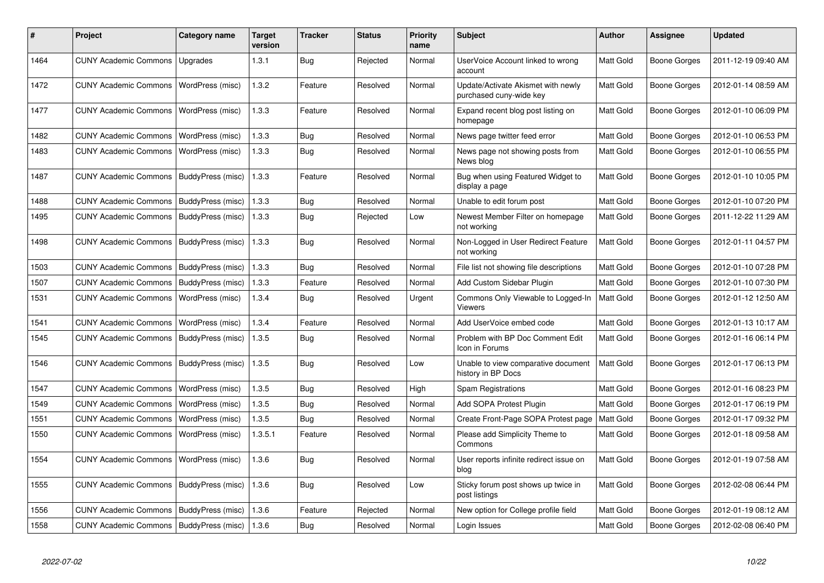| #    | Project                                   | Category name     | <b>Target</b><br>version | Tracker    | <b>Status</b> | <b>Priority</b><br>name | <b>Subject</b>                                                | <b>Author</b>    | Assignee     | <b>Updated</b>      |
|------|-------------------------------------------|-------------------|--------------------------|------------|---------------|-------------------------|---------------------------------------------------------------|------------------|--------------|---------------------|
| 1464 | <b>CUNY Academic Commons</b>              | Upgrades          | 1.3.1                    | <b>Bug</b> | Rejected      | Normal                  | UserVoice Account linked to wrong<br>account                  | Matt Gold        | Boone Gorges | 2011-12-19 09:40 AM |
| 1472 | <b>CUNY Academic Commons</b>              | WordPress (misc)  | 1.3.2                    | Feature    | Resolved      | Normal                  | Update/Activate Akismet with newly<br>purchased cuny-wide key | Matt Gold        | Boone Gorges | 2012-01-14 08:59 AM |
| 1477 | <b>CUNY Academic Commons</b>              | WordPress (misc)  | 1.3.3                    | Feature    | Resolved      | Normal                  | Expand recent blog post listing on<br>homepage                | Matt Gold        | Boone Gorges | 2012-01-10 06:09 PM |
| 1482 | <b>CUNY Academic Commons</b>              | WordPress (misc)  | 1.3.3                    | Bug        | Resolved      | Normal                  | News page twitter feed error                                  | Matt Gold        | Boone Gorges | 2012-01-10 06:53 PM |
| 1483 | <b>CUNY Academic Commons</b>              | WordPress (misc)  | 1.3.3                    | <b>Bug</b> | Resolved      | Normal                  | News page not showing posts from<br>News blog                 | Matt Gold        | Boone Gorges | 2012-01-10 06:55 PM |
| 1487 | <b>CUNY Academic Commons</b>              | BuddyPress (misc) | 1.3.3                    | Feature    | Resolved      | Normal                  | Bug when using Featured Widget to<br>display a page           | Matt Gold        | Boone Gorges | 2012-01-10 10:05 PM |
| 1488 | <b>CUNY Academic Commons</b>              | BuddyPress (misc) | 1.3.3                    | Bug        | Resolved      | Normal                  | Unable to edit forum post                                     | Matt Gold        | Boone Gorges | 2012-01-10 07:20 PM |
| 1495 | <b>CUNY Academic Commons</b>              | BuddyPress (misc) | 1.3.3                    | Bug        | Rejected      | Low                     | Newest Member Filter on homepage<br>not working               | Matt Gold        | Boone Gorges | 2011-12-22 11:29 AM |
| 1498 | <b>CUNY Academic Commons</b>              | BuddyPress (misc) | 1.3.3                    | Bug        | Resolved      | Normal                  | Non-Logged in User Redirect Feature<br>not working            | Matt Gold        | Boone Gorges | 2012-01-11 04:57 PM |
| 1503 | <b>CUNY Academic Commons</b>              | BuddyPress (misc) | 1.3.3                    | Bug        | Resolved      | Normal                  | File list not showing file descriptions                       | Matt Gold        | Boone Gorges | 2012-01-10 07:28 PM |
| 1507 | <b>CUNY Academic Commons</b>              | BuddyPress (misc) | 1.3.3                    | Feature    | Resolved      | Normal                  | Add Custom Sidebar Plugin                                     | <b>Matt Gold</b> | Boone Gorges | 2012-01-10 07:30 PM |
| 1531 | <b>CUNY Academic Commons</b>              | WordPress (misc)  | 1.3.4                    | Bug        | Resolved      | Urgent                  | Commons Only Viewable to Logged-In<br>Viewers                 | Matt Gold        | Boone Gorges | 2012-01-12 12:50 AM |
| 1541 | <b>CUNY Academic Commons</b>              | WordPress (misc)  | 1.3.4                    | Feature    | Resolved      | Normal                  | Add UserVoice embed code                                      | Matt Gold        | Boone Gorges | 2012-01-13 10:17 AM |
| 1545 | <b>CUNY Academic Commons</b>              | BuddyPress (misc) | 1.3.5                    | Bug        | Resolved      | Normal                  | Problem with BP Doc Comment Edit<br>Icon in Forums            | Matt Gold        | Boone Gorges | 2012-01-16 06:14 PM |
| 1546 | <b>CUNY Academic Commons</b>              | BuddyPress (misc) | 1.3.5                    | Bug        | Resolved      | Low                     | Unable to view comparative document<br>history in BP Docs     | <b>Matt Gold</b> | Boone Gorges | 2012-01-17 06:13 PM |
| 1547 | <b>CUNY Academic Commons</b>              | WordPress (misc)  | 1.3.5                    | Bug        | Resolved      | High                    | <b>Spam Registrations</b>                                     | Matt Gold        | Boone Gorges | 2012-01-16 08:23 PM |
| 1549 | <b>CUNY Academic Commons</b>              | WordPress (misc)  | 1.3.5                    | Bug        | Resolved      | Normal                  | Add SOPA Protest Plugin                                       | Matt Gold        | Boone Gorges | 2012-01-17 06:19 PM |
| 1551 | <b>CUNY Academic Commons</b>              | WordPress (misc)  | 1.3.5                    | Bug        | Resolved      | Normal                  | Create Front-Page SOPA Protest page                           | Matt Gold        | Boone Gorges | 2012-01-17 09:32 PM |
| 1550 | <b>CUNY Academic Commons</b>              | WordPress (misc)  | 1.3.5.1                  | Feature    | Resolved      | Normal                  | Please add Simplicity Theme to<br>Commons                     | Matt Gold        | Boone Gorges | 2012-01-18 09:58 AM |
| 1554 | <b>CUNY Academic Commons</b>              | WordPress (misc)  | 1.3.6                    | <b>Bug</b> | Resolved      | Normal                  | User reports infinite redirect issue on<br>blog               | Matt Gold        | Boone Gorges | 2012-01-19 07:58 AM |
| 1555 | <b>CUNY Academic Commons</b>              | BuddyPress (misc) | 1.3.6                    | <b>Bug</b> | Resolved      | Low                     | Sticky forum post shows up twice in<br>post listings          | Matt Gold        | Boone Gorges | 2012-02-08 06:44 PM |
| 1556 | <b>CUNY Academic Commons</b>              | BuddyPress (misc) | 1.3.6                    | Feature    | Rejected      | Normal                  | New option for College profile field                          | Matt Gold        | Boone Gorges | 2012-01-19 08:12 AM |
| 1558 | CUNY Academic Commons   BuddyPress (misc) |                   | 1.3.6                    | Bug        | Resolved      | Normal                  | Login Issues                                                  | Matt Gold        | Boone Gorges | 2012-02-08 06:40 PM |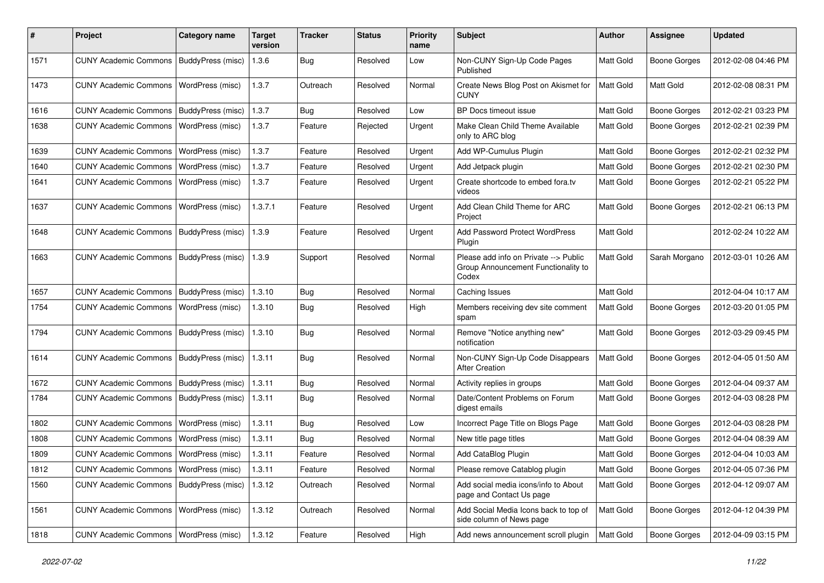| ∦    | Project                                   | <b>Category name</b>    | <b>Target</b><br>version | <b>Tracker</b> | <b>Status</b> | <b>Priority</b><br>name | <b>Subject</b>                                                                        | Author           | <b>Assignee</b>     | <b>Updated</b>      |
|------|-------------------------------------------|-------------------------|--------------------------|----------------|---------------|-------------------------|---------------------------------------------------------------------------------------|------------------|---------------------|---------------------|
| 1571 | <b>CUNY Academic Commons</b>              | BuddyPress (misc)       | 1.3.6                    | Bug            | Resolved      | Low                     | Non-CUNY Sign-Up Code Pages<br>Published                                              | Matt Gold        | <b>Boone Gorges</b> | 2012-02-08 04:46 PM |
| 1473 | <b>CUNY Academic Commons</b>              | WordPress (misc)        | 1.3.7                    | Outreach       | Resolved      | Normal                  | Create News Blog Post on Akismet for<br><b>CUNY</b>                                   | Matt Gold        | Matt Gold           | 2012-02-08 08:31 PM |
| 1616 | <b>CUNY Academic Commons</b>              | BuddyPress (misc)       | 1.3.7                    | Bug            | Resolved      | Low                     | BP Docs timeout issue                                                                 | <b>Matt Gold</b> | <b>Boone Gorges</b> | 2012-02-21 03:23 PM |
| 1638 | <b>CUNY Academic Commons</b>              | WordPress (misc)        | 1.3.7                    | Feature        | Rejected      | Urgent                  | Make Clean Child Theme Available<br>only to ARC blog                                  | Matt Gold        | <b>Boone Gorges</b> | 2012-02-21 02:39 PM |
| 1639 | <b>CUNY Academic Commons</b>              | WordPress (misc)        | 1.3.7                    | Feature        | Resolved      | Urgent                  | Add WP-Cumulus Plugin                                                                 | Matt Gold        | <b>Boone Gorges</b> | 2012-02-21 02:32 PM |
| 1640 | <b>CUNY Academic Commons</b>              | <b>WordPress (misc)</b> | 1.3.7                    | Feature        | Resolved      | Urgent                  | Add Jetpack plugin                                                                    | Matt Gold        | Boone Gorges        | 2012-02-21 02:30 PM |
| 1641 | <b>CUNY Academic Commons</b>              | WordPress (misc)        | 1.3.7                    | Feature        | Resolved      | Urgent                  | Create shortcode to embed fora.tv<br>videos                                           | Matt Gold        | <b>Boone Gorges</b> | 2012-02-21 05:22 PM |
| 1637 | <b>CUNY Academic Commons</b>              | WordPress (misc)        | 1.3.7.1                  | Feature        | Resolved      | Urgent                  | Add Clean Child Theme for ARC<br>Project                                              | <b>Matt Gold</b> | <b>Boone Gorges</b> | 2012-02-21 06:13 PM |
| 1648 | CUNY Academic Commons   BuddyPress (misc) |                         | 1.3.9                    | Feature        | Resolved      | Urgent                  | Add Password Protect WordPress<br>Plugin                                              | Matt Gold        |                     | 2012-02-24 10:22 AM |
| 1663 | <b>CUNY Academic Commons</b>              | BuddyPress (misc)       | 1.3.9                    | Support        | Resolved      | Normal                  | Please add info on Private --> Public<br>Group Announcement Functionality to<br>Codex | Matt Gold        | Sarah Morgano       | 2012-03-01 10:26 AM |
| 1657 | <b>CUNY Academic Commons</b>              | BuddyPress (misc)       | 1.3.10                   | Bug            | Resolved      | Normal                  | Caching Issues                                                                        | Matt Gold        |                     | 2012-04-04 10:17 AM |
| 1754 | <b>CUNY Academic Commons</b>              | WordPress (misc)        | 1.3.10                   | Bug            | Resolved      | High                    | Members receiving dev site comment<br>spam                                            | Matt Gold        | <b>Boone Gorges</b> | 2012-03-20 01:05 PM |
| 1794 | <b>CUNY Academic Commons</b>              | BuddyPress (misc)       | 1.3.10                   | Bug            | Resolved      | Normal                  | Remove "Notice anything new"<br>notification                                          | Matt Gold        | Boone Gorges        | 2012-03-29 09:45 PM |
| 1614 | <b>CUNY Academic Commons</b>              | BuddyPress (misc)       | 1.3.11                   | Bug            | Resolved      | Normal                  | Non-CUNY Sign-Up Code Disappears<br><b>After Creation</b>                             | Matt Gold        | <b>Boone Gorges</b> | 2012-04-05 01:50 AM |
| 1672 | <b>CUNY Academic Commons</b>              | BuddyPress (misc)       | 1.3.11                   | Bug            | Resolved      | Normal                  | Activity replies in groups                                                            | Matt Gold        | <b>Boone Gorges</b> | 2012-04-04 09:37 AM |
| 1784 | <b>CUNY Academic Commons</b>              | BuddyPress (misc)       | 1.3.11                   | Bug            | Resolved      | Normal                  | Date/Content Problems on Forum<br>digest emails                                       | Matt Gold        | <b>Boone Gorges</b> | 2012-04-03 08:28 PM |
| 1802 | <b>CUNY Academic Commons</b>              | WordPress (misc)        | 1.3.11                   | Bug            | Resolved      | Low                     | Incorrect Page Title on Blogs Page                                                    | Matt Gold        | <b>Boone Gorges</b> | 2012-04-03 08:28 PM |
| 1808 | <b>CUNY Academic Commons</b>              | WordPress (misc)        | 1.3.11                   | Bug            | Resolved      | Normal                  | New title page titles                                                                 | Matt Gold        | <b>Boone Gorges</b> | 2012-04-04 08:39 AM |
| 1809 | <b>CUNY Academic Commons</b>              | WordPress (misc)        | 1.3.11                   | Feature        | Resolved      | Normal                  | Add CataBlog Plugin                                                                   | <b>Matt Gold</b> | <b>Boone Gorges</b> | 2012-04-04 10:03 AM |
| 1812 | CUNY Academic Commons   WordPress (misc)  |                         | 1.3.11                   | Feature        | Resolved      | Normal                  | Please remove Catablog plugin                                                         | <b>Matt Gold</b> | <b>Boone Gorges</b> | 2012-04-05 07:36 PM |
| 1560 | CUNY Academic Commons   BuddyPress (misc) |                         | 1.3.12                   | Outreach       | Resolved      | Normal                  | Add social media icons/info to About<br>page and Contact Us page                      | Matt Gold        | <b>Boone Gorges</b> | 2012-04-12 09:07 AM |
| 1561 | <b>CUNY Academic Commons</b>              | WordPress (misc)        | 1.3.12                   | Outreach       | Resolved      | Normal                  | Add Social Media Icons back to top of<br>side column of News page                     | Matt Gold        | Boone Gorges        | 2012-04-12 04:39 PM |
| 1818 | CUNY Academic Commons   WordPress (misc)  |                         | 1.3.12                   | Feature        | Resolved      | High                    | Add news announcement scroll plugin                                                   | Matt Gold        | Boone Gorges        | 2012-04-09 03:15 PM |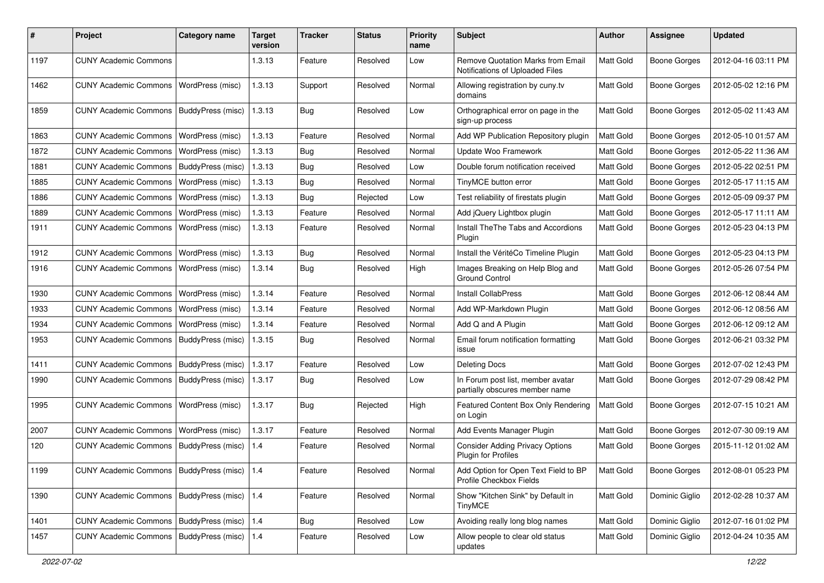| #    | Project                                         | <b>Category name</b>    | <b>Target</b><br>version | Tracker    | <b>Status</b> | <b>Priority</b><br>name | <b>Subject</b>                                                       | <b>Author</b> | <b>Assignee</b>     | <b>Updated</b>      |
|------|-------------------------------------------------|-------------------------|--------------------------|------------|---------------|-------------------------|----------------------------------------------------------------------|---------------|---------------------|---------------------|
| 1197 | <b>CUNY Academic Commons</b>                    |                         | 1.3.13                   | Feature    | Resolved      | Low                     | Remove Quotation Marks from Email<br>Notifications of Uploaded Files | Matt Gold     | <b>Boone Gorges</b> | 2012-04-16 03:11 PM |
| 1462 | <b>CUNY Academic Commons</b>                    | WordPress (misc)        | 1.3.13                   | Support    | Resolved      | Normal                  | Allowing registration by cuny.tv<br>domains                          | Matt Gold     | <b>Boone Gorges</b> | 2012-05-02 12:16 PM |
| 1859 | <b>CUNY Academic Commons</b>                    | BuddyPress (misc)       | 1.3.13                   | Bug        | Resolved      | Low                     | Orthographical error on page in the<br>sign-up process               | Matt Gold     | <b>Boone Gorges</b> | 2012-05-02 11:43 AM |
| 1863 | <b>CUNY Academic Commons</b>                    | WordPress (misc)        | 1.3.13                   | Feature    | Resolved      | Normal                  | Add WP Publication Repository plugin                                 | Matt Gold     | <b>Boone Gorges</b> | 2012-05-10 01:57 AM |
| 1872 | <b>CUNY Academic Commons</b>                    | WordPress (misc)        | 1.3.13                   | <b>Bug</b> | Resolved      | Normal                  | Update Woo Framework                                                 | Matt Gold     | <b>Boone Gorges</b> | 2012-05-22 11:36 AM |
| 1881 | <b>CUNY Academic Commons</b>                    | BuddyPress (misc)       | 1.3.13                   | Bug        | Resolved      | Low                     | Double forum notification received                                   | Matt Gold     | <b>Boone Gorges</b> | 2012-05-22 02:51 PM |
| 1885 | <b>CUNY Academic Commons</b>                    | WordPress (misc)        | 1.3.13                   | Bug        | Resolved      | Normal                  | TinyMCE button error                                                 | Matt Gold     | <b>Boone Gorges</b> | 2012-05-17 11:15 AM |
| 1886 | <b>CUNY Academic Commons</b>                    | WordPress (misc)        | 1.3.13                   | <b>Bug</b> | Rejected      | Low                     | Test reliability of firestats plugin                                 | Matt Gold     | <b>Boone Gorges</b> | 2012-05-09 09:37 PM |
| 1889 | <b>CUNY Academic Commons</b>                    | WordPress (misc)        | 1.3.13                   | Feature    | Resolved      | Normal                  | Add jQuery Lightbox plugin                                           | Matt Gold     | <b>Boone Gorges</b> | 2012-05-17 11:11 AM |
| 1911 | <b>CUNY Academic Commons</b>                    | WordPress (misc)        | 1.3.13                   | Feature    | Resolved      | Normal                  | Install TheThe Tabs and Accordions<br>Plugin                         | Matt Gold     | <b>Boone Gorges</b> | 2012-05-23 04:13 PM |
| 1912 | <b>CUNY Academic Commons</b>                    | WordPress (misc)        | 1.3.13                   | Bug        | Resolved      | Normal                  | Install the VéritéCo Timeline Plugin                                 | Matt Gold     | <b>Boone Gorges</b> | 2012-05-23 04:13 PM |
| 1916 | <b>CUNY Academic Commons</b>                    | WordPress (misc)        | 1.3.14                   | Bug        | Resolved      | High                    | Images Breaking on Help Blog and<br><b>Ground Control</b>            | Matt Gold     | <b>Boone Gorges</b> | 2012-05-26 07:54 PM |
| 1930 | <b>CUNY Academic Commons</b>                    | WordPress (misc)        | 1.3.14                   | Feature    | Resolved      | Normal                  | Install CollabPress                                                  | Matt Gold     | <b>Boone Gorges</b> | 2012-06-12 08:44 AM |
| 1933 | <b>CUNY Academic Commons</b>                    | WordPress (misc)        | 1.3.14                   | Feature    | Resolved      | Normal                  | Add WP-Markdown Plugin                                               | Matt Gold     | <b>Boone Gorges</b> | 2012-06-12 08:56 AM |
| 1934 | <b>CUNY Academic Commons</b>                    | WordPress (misc)        | 1.3.14                   | Feature    | Resolved      | Normal                  | Add Q and A Plugin                                                   | Matt Gold     | <b>Boone Gorges</b> | 2012-06-12 09:12 AM |
| 1953 | <b>CUNY Academic Commons</b>                    | BuddyPress (misc)       | 1.3.15                   | <b>Bug</b> | Resolved      | Normal                  | Email forum notification formatting<br>issue                         | Matt Gold     | <b>Boone Gorges</b> | 2012-06-21 03:32 PM |
| 1411 | <b>CUNY Academic Commons</b>                    | BuddyPress (misc)       | 1.3.17                   | Feature    | Resolved      | Low                     | <b>Deleting Docs</b>                                                 | Matt Gold     | <b>Boone Gorges</b> | 2012-07-02 12:43 PM |
| 1990 | <b>CUNY Academic Commons</b>                    | BuddyPress (misc)       | 1.3.17                   | Bug        | Resolved      | Low                     | In Forum post list, member avatar<br>partially obscures member name  | Matt Gold     | <b>Boone Gorges</b> | 2012-07-29 08:42 PM |
| 1995 | <b>CUNY Academic Commons</b>                    | WordPress (misc)        | 1.3.17                   | <b>Bug</b> | Rejected      | High                    | Featured Content Box Only Rendering<br>on Login                      | Matt Gold     | <b>Boone Gorges</b> | 2012-07-15 10:21 AM |
| 2007 | <b>CUNY Academic Commons</b>                    | WordPress (misc)        | 1.3.17                   | Feature    | Resolved      | Normal                  | Add Events Manager Plugin                                            | Matt Gold     | <b>Boone Gorges</b> | 2012-07-30 09:19 AM |
| 120  | <b>CUNY Academic Commons</b>                    | BuddyPress (misc)       | 1.4                      | Feature    | Resolved      | Normal                  | <b>Consider Adding Privacy Options</b><br>Plugin for Profiles        | Matt Gold     | <b>Boone Gorges</b> | 2015-11-12 01:02 AM |
| 1199 | CUNY Academic Commons   BuddyPress (misc)   1.4 |                         |                          | Feature    | Resolved      | Normal                  | Add Option for Open Text Field to BP<br>Profile Checkbox Fields      | Matt Gold     | <b>Boone Gorges</b> | 2012-08-01 05:23 PM |
| 1390 | CUNY Academic Commons   BuddyPress (misc)   1.4 |                         |                          | Feature    | Resolved      | Normal                  | Show "Kitchen Sink" by Default in<br><b>TinyMCE</b>                  | Matt Gold     | Dominic Giglio      | 2012-02-28 10:37 AM |
| 1401 | CUNY Academic Commons   BuddyPress (misc)   1.4 |                         |                          | Bug        | Resolved      | Low                     | Avoiding really long blog names                                      | Matt Gold     | Dominic Giglio      | 2012-07-16 01:02 PM |
| 1457 | <b>CUNY Academic Commons</b>                    | BuddyPress (misc)   1.4 |                          | Feature    | Resolved      | Low                     | Allow people to clear old status<br>updates                          | Matt Gold     | Dominic Giglio      | 2012-04-24 10:35 AM |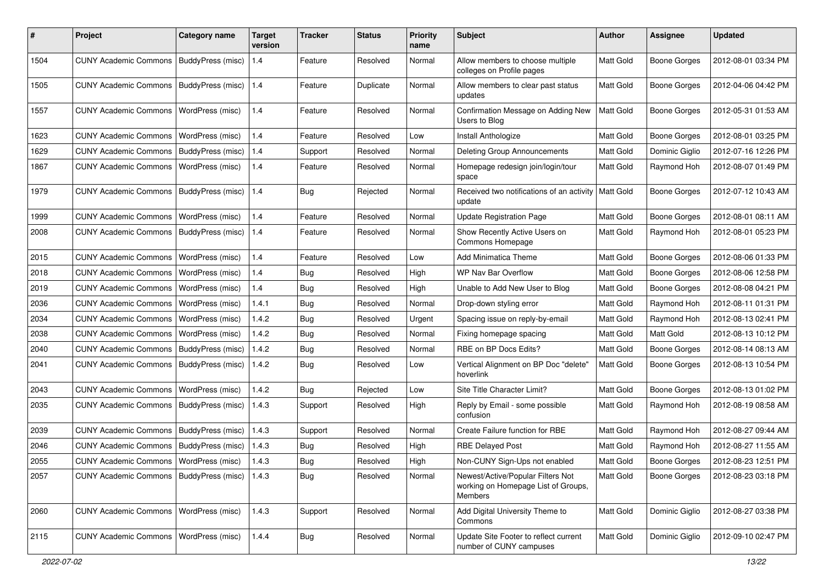| #    | Project                                           | <b>Category name</b>     | <b>Target</b><br>version | <b>Tracker</b> | <b>Status</b> | <b>Priority</b><br>name | Subject                                                                             | <b>Author</b> | Assignee            | <b>Updated</b>      |
|------|---------------------------------------------------|--------------------------|--------------------------|----------------|---------------|-------------------------|-------------------------------------------------------------------------------------|---------------|---------------------|---------------------|
| 1504 | <b>CUNY Academic Commons</b>                      | BuddyPress (misc)        | $1.4$                    | Feature        | Resolved      | Normal                  | Allow members to choose multiple<br>colleges on Profile pages                       | Matt Gold     | <b>Boone Gorges</b> | 2012-08-01 03:34 PM |
| 1505 | <b>CUNY Academic Commons</b>                      | BuddyPress (misc)        | 1.4                      | Feature        | Duplicate     | Normal                  | Allow members to clear past status<br>updates                                       | Matt Gold     | <b>Boone Gorges</b> | 2012-04-06 04:42 PM |
| 1557 | <b>CUNY Academic Commons</b>                      | WordPress (misc)         | 1.4                      | Feature        | Resolved      | Normal                  | Confirmation Message on Adding New<br>Users to Bloa                                 | Matt Gold     | <b>Boone Gorges</b> | 2012-05-31 01:53 AM |
| 1623 | <b>CUNY Academic Commons</b>                      | WordPress (misc)         | 1.4                      | Feature        | Resolved      | Low                     | Install Anthologize                                                                 | Matt Gold     | <b>Boone Gorges</b> | 2012-08-01 03:25 PM |
| 1629 | <b>CUNY Academic Commons</b>                      | BuddyPress (misc) 1.4    |                          | Support        | Resolved      | Normal                  | <b>Deleting Group Announcements</b>                                                 | Matt Gold     | Dominic Giglio      | 2012-07-16 12:26 PM |
| 1867 | <b>CUNY Academic Commons</b>                      | <b>WordPress (misc)</b>  | 1.4                      | Feature        | Resolved      | Normal                  | Homepage redesign join/login/tour<br>space                                          | Matt Gold     | Raymond Hoh         | 2012-08-07 01:49 PM |
| 1979 | <b>CUNY Academic Commons</b>                      | BuddyPress (misc)        | 1.4                      | Bug            | Rejected      | Normal                  | Received two notifications of an activity<br>update                                 | Matt Gold     | <b>Boone Gorges</b> | 2012-07-12 10:43 AM |
| 1999 | <b>CUNY Academic Commons</b>                      | WordPress (misc)         | 1.4                      | Feature        | Resolved      | Normal                  | <b>Update Registration Page</b>                                                     | Matt Gold     | <b>Boone Gorges</b> | 2012-08-01 08:11 AM |
| 2008 | <b>CUNY Academic Commons</b>                      | BuddyPress (misc)        | 1.4                      | Feature        | Resolved      | Normal                  | Show Recently Active Users on<br>Commons Homepage                                   | Matt Gold     | Raymond Hoh         | 2012-08-01 05:23 PM |
| 2015 | <b>CUNY Academic Commons</b>                      | WordPress (misc)         | 1.4                      | Feature        | Resolved      | Low                     | Add Minimatica Theme                                                                | Matt Gold     | <b>Boone Gorges</b> | 2012-08-06 01:33 PM |
| 2018 | <b>CUNY Academic Commons</b>                      | WordPress (misc)         | 1.4                      | Bug            | Resolved      | High                    | WP Nav Bar Overflow                                                                 | Matt Gold     | <b>Boone Gorges</b> | 2012-08-06 12:58 PM |
| 2019 | <b>CUNY Academic Commons</b>                      | WordPress (misc)         | 1.4                      | Bug            | Resolved      | High                    | Unable to Add New User to Blog                                                      | Matt Gold     | <b>Boone Gorges</b> | 2012-08-08 04:21 PM |
| 2036 | <b>CUNY Academic Commons</b>                      | <b>WordPress (misc)</b>  | 1.4.1                    | Bug            | Resolved      | Normal                  | Drop-down styling error                                                             | Matt Gold     | Raymond Hoh         | 2012-08-11 01:31 PM |
| 2034 | <b>CUNY Academic Commons</b>                      | WordPress (misc)         | 1.4.2                    | Bug            | Resolved      | Urgent                  | Spacing issue on reply-by-email                                                     | Matt Gold     | Raymond Hoh         | 2012-08-13 02:41 PM |
| 2038 | <b>CUNY Academic Commons</b>                      | WordPress (misc)         | 1.4.2                    | Bug            | Resolved      | Normal                  | Fixing homepage spacing                                                             | Matt Gold     | Matt Gold           | 2012-08-13 10:12 PM |
| 2040 | <b>CUNY Academic Commons</b>                      | BuddyPress (misc)        | 1.4.2                    | Bug            | Resolved      | Normal                  | RBE on BP Docs Edits?                                                               | Matt Gold     | <b>Boone Gorges</b> | 2012-08-14 08:13 AM |
| 2041 | <b>CUNY Academic Commons</b>                      | BuddyPress (misc)        | 1.4.2                    | Bug            | Resolved      | Low                     | Vertical Alignment on BP Doc "delete"<br>hoverlink                                  | Matt Gold     | <b>Boone Gorges</b> | 2012-08-13 10:54 PM |
| 2043 | <b>CUNY Academic Commons</b>                      | WordPress (misc)         | 1.4.2                    | Bug            | Rejected      | Low                     | Site Title Character Limit?                                                         | Matt Gold     | Boone Gorges        | 2012-08-13 01:02 PM |
| 2035 | <b>CUNY Academic Commons</b>                      | BuddyPress (misc)        | 1.4.3                    | Support        | Resolved      | High                    | Reply by Email - some possible<br>confusion                                         | Matt Gold     | Raymond Hoh         | 2012-08-19 08:58 AM |
| 2039 | <b>CUNY Academic Commons</b>                      | <b>BuddyPress (misc)</b> | 1.4.3                    | Support        | Resolved      | Normal                  | Create Failure function for RBE                                                     | Matt Gold     | Raymond Hoh         | 2012-08-27 09:44 AM |
| 2046 | <b>CUNY Academic Commons</b>                      | BuddyPress (misc)        | 1.4.3                    | Bug            | Resolved      | High                    | <b>RBE Delayed Post</b>                                                             | Matt Gold     | Raymond Hoh         | 2012-08-27 11:55 AM |
| 2055 | CUNY Academic Commons   WordPress (misc)          |                          | 1.4.3                    | Bug            | Resolved      | High                    | Non-CUNY Sign-Ups not enabled                                                       | Matt Gold     | <b>Boone Gorges</b> | 2012-08-23 12:51 PM |
| 2057 | CUNY Academic Commons   BuddyPress (misc)   1.4.3 |                          |                          | Bug            | Resolved      | Normal                  | Newest/Active/Popular Filters Not<br>working on Homepage List of Groups,<br>Members | Matt Gold     | <b>Boone Gorges</b> | 2012-08-23 03:18 PM |
| 2060 | <b>CUNY Academic Commons</b>                      | WordPress (misc)         | 1.4.3                    | Support        | Resolved      | Normal                  | Add Digital University Theme to<br>Commons                                          | Matt Gold     | Dominic Giglio      | 2012-08-27 03:38 PM |
| 2115 | CUNY Academic Commons   WordPress (misc)          |                          | 1.4.4                    | <b>Bug</b>     | Resolved      | Normal                  | Update Site Footer to reflect current<br>number of CUNY campuses                    | Matt Gold     | Dominic Giglio      | 2012-09-10 02:47 PM |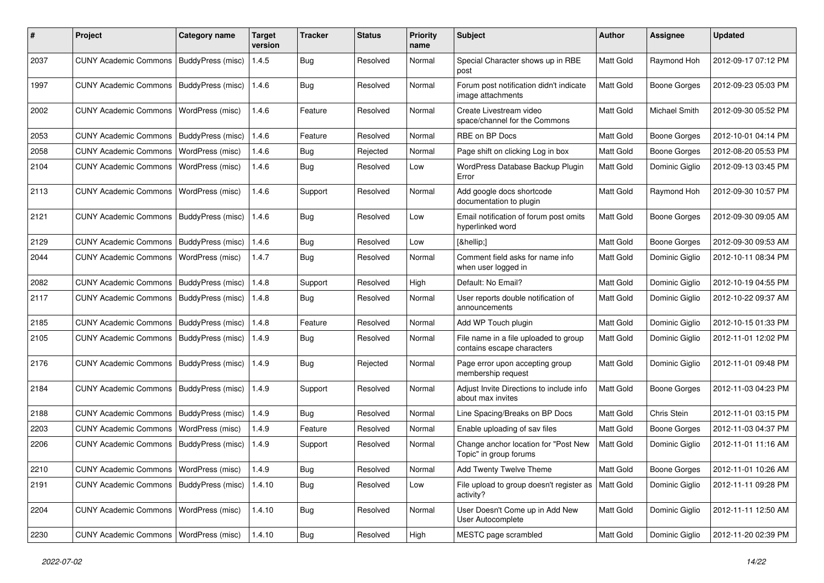| #    | Project                                   | <b>Category name</b>     | <b>Target</b><br>version | <b>Tracker</b> | <b>Status</b> | <b>Priority</b><br>name | Subject                                                             | <b>Author</b> | <b>Assignee</b>     | <b>Updated</b>      |
|------|-------------------------------------------|--------------------------|--------------------------|----------------|---------------|-------------------------|---------------------------------------------------------------------|---------------|---------------------|---------------------|
| 2037 | <b>CUNY Academic Commons</b>              | BuddyPress (misc)        | 1.4.5                    | Bug            | Resolved      | Normal                  | Special Character shows up in RBE<br>post                           | Matt Gold     | Raymond Hoh         | 2012-09-17 07:12 PM |
| 1997 | <b>CUNY Academic Commons</b>              | <b>BuddyPress (misc)</b> | 1.4.6                    | Bug            | Resolved      | Normal                  | Forum post notification didn't indicate<br>image attachments        | Matt Gold     | <b>Boone Gorges</b> | 2012-09-23 05:03 PM |
| 2002 | <b>CUNY Academic Commons</b>              | WordPress (misc)         | 1.4.6                    | Feature        | Resolved      | Normal                  | Create Livestream video<br>space/channel for the Commons            | Matt Gold     | Michael Smith       | 2012-09-30 05:52 PM |
| 2053 | <b>CUNY Academic Commons</b>              | BuddyPress (misc)        | 1.4.6                    | Feature        | Resolved      | Normal                  | RBE on BP Docs                                                      | Matt Gold     | <b>Boone Gorges</b> | 2012-10-01 04:14 PM |
| 2058 | <b>CUNY Academic Commons</b>              | WordPress (misc)         | 1.4.6                    | Bug            | Rejected      | Normal                  | Page shift on clicking Log in box                                   | Matt Gold     | <b>Boone Gorges</b> | 2012-08-20 05:53 PM |
| 2104 | <b>CUNY Academic Commons</b>              | <b>WordPress (misc)</b>  | 1.4.6                    | Bug            | Resolved      | Low                     | WordPress Database Backup Plugin<br>Error                           | Matt Gold     | Dominic Giglio      | 2012-09-13 03:45 PM |
| 2113 | <b>CUNY Academic Commons</b>              | <b>WordPress (misc)</b>  | 1.4.6                    | Support        | Resolved      | Normal                  | Add google docs shortcode<br>documentation to plugin                | Matt Gold     | Raymond Hoh         | 2012-09-30 10:57 PM |
| 2121 | <b>CUNY Academic Commons</b>              | BuddyPress (misc)        | 1.4.6                    | Bug            | Resolved      | Low                     | Email notification of forum post omits<br>hyperlinked word          | Matt Gold     | <b>Boone Gorges</b> | 2012-09-30 09:05 AM |
| 2129 | <b>CUNY Academic Commons</b>              | <b>BuddyPress (misc)</b> | 1.4.6                    | Bug            | Resolved      | Low                     | […]                                                                 | Matt Gold     | <b>Boone Gorges</b> | 2012-09-30 09:53 AM |
| 2044 | <b>CUNY Academic Commons</b>              | WordPress (misc)         | 1.4.7                    | Bug            | Resolved      | Normal                  | Comment field asks for name info<br>when user logged in             | Matt Gold     | Dominic Giglio      | 2012-10-11 08:34 PM |
| 2082 | <b>CUNY Academic Commons</b>              | BuddyPress (misc)        | 1.4.8                    | Support        | Resolved      | High                    | Default: No Email?                                                  | Matt Gold     | Dominic Giglio      | 2012-10-19 04:55 PM |
| 2117 | <b>CUNY Academic Commons</b>              | BuddyPress (misc)        | 1.4.8                    | Bug            | Resolved      | Normal                  | User reports double notification of<br>announcements                | Matt Gold     | Dominic Giglio      | 2012-10-22 09:37 AM |
| 2185 | <b>CUNY Academic Commons</b>              | BuddyPress (misc)        | 1.4.8                    | Feature        | Resolved      | Normal                  | Add WP Touch plugin                                                 | Matt Gold     | Dominic Giglio      | 2012-10-15 01:33 PM |
| 2105 | <b>CUNY Academic Commons</b>              | BuddyPress (misc)        | 1.4.9                    | Bug            | Resolved      | Normal                  | File name in a file uploaded to group<br>contains escape characters | Matt Gold     | Dominic Giglio      | 2012-11-01 12:02 PM |
| 2176 | <b>CUNY Academic Commons</b>              | BuddyPress (misc)        | 1.4.9                    | <b>Bug</b>     | Rejected      | Normal                  | Page error upon accepting group<br>membership request               | Matt Gold     | Dominic Giglio      | 2012-11-01 09:48 PM |
| 2184 | <b>CUNY Academic Commons</b>              | BuddyPress (misc)        | 1.4.9                    | Support        | Resolved      | Normal                  | Adjust Invite Directions to include info<br>about max invites       | Matt Gold     | <b>Boone Gorges</b> | 2012-11-03 04:23 PM |
| 2188 | <b>CUNY Academic Commons</b>              | BuddyPress (misc)        | 1.4.9                    | Bug            | Resolved      | Normal                  | Line Spacing/Breaks on BP Docs                                      | Matt Gold     | Chris Stein         | 2012-11-01 03:15 PM |
| 2203 | <b>CUNY Academic Commons</b>              | <b>WordPress (misc)</b>  | 1.4.9                    | Feature        | Resolved      | Normal                  | Enable uploading of sav files                                       | Matt Gold     | <b>Boone Gorges</b> | 2012-11-03 04:37 PM |
| 2206 | <b>CUNY Academic Commons</b>              | BuddyPress (misc)        | 1.4.9                    | Support        | Resolved      | Normal                  | Change anchor location for "Post New<br>Topic" in group forums      | Matt Gold     | Dominic Giglio      | 2012-11-01 11:16 AM |
| 2210 | CUNY Academic Commons   WordPress (misc)  |                          | 1.4.9                    | <b>Bug</b>     | Resolved      | Normal                  | Add Twenty Twelve Theme                                             | Matt Gold     | Boone Gorges        | 2012-11-01 10:26 AM |
| 2191 | CUNY Academic Commons   BuddyPress (misc) |                          | 1.4.10                   | Bug            | Resolved      | Low                     | File upload to group doesn't register as<br>activity?               | Matt Gold     | Dominic Giglio      | 2012-11-11 09:28 PM |
| 2204 | <b>CUNY Academic Commons</b>              | <b>WordPress (misc)</b>  | 1.4.10                   | Bug            | Resolved      | Normal                  | User Doesn't Come up in Add New<br>User Autocomplete                | Matt Gold     | Dominic Giglio      | 2012-11-11 12:50 AM |
| 2230 | CUNY Academic Commons   WordPress (misc)  |                          | 1.4.10                   | <b>Bug</b>     | Resolved      | High                    | MESTC page scrambled                                                | Matt Gold     | Dominic Giglio      | 2012-11-20 02:39 PM |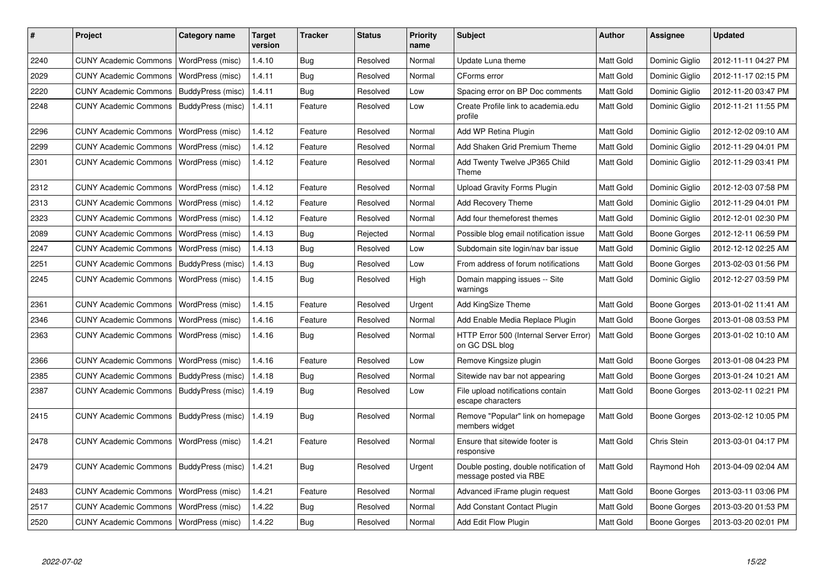| #    | Project                                   | Category name     | <b>Target</b><br>version | <b>Tracker</b> | <b>Status</b> | <b>Priority</b><br>name | <b>Subject</b>                                                   | <b>Author</b> | Assignee       | <b>Updated</b>      |
|------|-------------------------------------------|-------------------|--------------------------|----------------|---------------|-------------------------|------------------------------------------------------------------|---------------|----------------|---------------------|
| 2240 | <b>CUNY Academic Commons</b>              | WordPress (misc)  | 1.4.10                   | Bug            | Resolved      | Normal                  | Update Luna theme                                                | Matt Gold     | Dominic Giglio | 2012-11-11 04:27 PM |
| 2029 | <b>CUNY Academic Commons</b>              | WordPress (misc)  | 1.4.11                   | Bug            | Resolved      | Normal                  | CForms error                                                     | Matt Gold     | Dominic Giglio | 2012-11-17 02:15 PM |
| 2220 | <b>CUNY Academic Commons</b>              | BuddyPress (misc) | 1.4.11                   | <b>Bug</b>     | Resolved      | Low                     | Spacing error on BP Doc comments                                 | Matt Gold     | Dominic Giglio | 2012-11-20 03:47 PM |
| 2248 | CUNY Academic Commons   BuddyPress (misc) |                   | 1.4.11                   | Feature        | Resolved      | Low                     | Create Profile link to academia.edu<br>profile                   | Matt Gold     | Dominic Giglio | 2012-11-21 11:55 PM |
| 2296 | <b>CUNY Academic Commons</b>              | WordPress (misc)  | 1.4.12                   | Feature        | Resolved      | Normal                  | Add WP Retina Plugin                                             | Matt Gold     | Dominic Giglio | 2012-12-02 09:10 AM |
| 2299 | <b>CUNY Academic Commons</b>              | WordPress (misc)  | 1.4.12                   | Feature        | Resolved      | Normal                  | Add Shaken Grid Premium Theme                                    | Matt Gold     | Dominic Giglio | 2012-11-29 04:01 PM |
| 2301 | <b>CUNY Academic Commons</b>              | WordPress (misc)  | 1.4.12                   | Feature        | Resolved      | Normal                  | Add Twenty Twelve JP365 Child<br>Theme                           | Matt Gold     | Dominic Giglio | 2012-11-29 03:41 PM |
| 2312 | <b>CUNY Academic Commons</b>              | WordPress (misc)  | 1.4.12                   | Feature        | Resolved      | Normal                  | <b>Upload Gravity Forms Plugin</b>                               | Matt Gold     | Dominic Giglio | 2012-12-03 07:58 PM |
| 2313 | <b>CUNY Academic Commons</b>              | WordPress (misc)  | 1.4.12                   | Feature        | Resolved      | Normal                  | Add Recovery Theme                                               | Matt Gold     | Dominic Giglio | 2012-11-29 04:01 PM |
| 2323 | <b>CUNY Academic Commons</b>              | WordPress (misc)  | 1.4.12                   | Feature        | Resolved      | Normal                  | Add four themeforest themes                                      | Matt Gold     | Dominic Giglio | 2012-12-01 02:30 PM |
| 2089 | <b>CUNY Academic Commons</b>              | WordPress (misc)  | 1.4.13                   | Bug            | Rejected      | Normal                  | Possible blog email notification issue                           | Matt Gold     | Boone Gorges   | 2012-12-11 06:59 PM |
| 2247 | <b>CUNY Academic Commons</b>              | WordPress (misc)  | 1.4.13                   | Bug            | Resolved      | Low                     | Subdomain site login/nav bar issue                               | Matt Gold     | Dominic Giglio | 2012-12-12 02:25 AM |
| 2251 | <b>CUNY Academic Commons</b>              | BuddyPress (misc) | 1.4.13                   | Bug            | Resolved      | Low                     | From address of forum notifications                              | Matt Gold     | Boone Gorges   | 2013-02-03 01:56 PM |
| 2245 | <b>CUNY Academic Commons</b>              | WordPress (misc)  | 1.4.15                   | Bug            | Resolved      | High                    | Domain mapping issues -- Site<br>warnings                        | Matt Gold     | Dominic Giglio | 2012-12-27 03:59 PM |
| 2361 | <b>CUNY Academic Commons</b>              | WordPress (misc)  | 1.4.15                   | Feature        | Resolved      | Urgent                  | Add KingSize Theme                                               | Matt Gold     | Boone Gorges   | 2013-01-02 11:41 AM |
| 2346 | <b>CUNY Academic Commons</b>              | WordPress (misc)  | 1.4.16                   | Feature        | Resolved      | Normal                  | Add Enable Media Replace Plugin                                  | Matt Gold     | Boone Gorges   | 2013-01-08 03:53 PM |
| 2363 | <b>CUNY Academic Commons</b>              | WordPress (misc)  | 1.4.16                   | <b>Bug</b>     | Resolved      | Normal                  | HTTP Error 500 (Internal Server Error)<br>on GC DSL blog         | Matt Gold     | Boone Gorges   | 2013-01-02 10:10 AM |
| 2366 | <b>CUNY Academic Commons</b>              | WordPress (misc)  | 1.4.16                   | Feature        | Resolved      | Low                     | Remove Kingsize plugin                                           | Matt Gold     | Boone Gorges   | 2013-01-08 04:23 PM |
| 2385 | <b>CUNY Academic Commons</b>              | BuddyPress (misc) | 1.4.18                   | Bug            | Resolved      | Normal                  | Sitewide nav bar not appearing                                   | Matt Gold     | Boone Gorges   | 2013-01-24 10:21 AM |
| 2387 | <b>CUNY Academic Commons</b>              | BuddyPress (misc) | 1.4.19                   | Bug            | Resolved      | Low                     | File upload notifications contain<br>escape characters           | Matt Gold     | Boone Gorges   | 2013-02-11 02:21 PM |
| 2415 | <b>CUNY Academic Commons</b>              | BuddyPress (misc) | 1.4.19                   | Bug            | Resolved      | Normal                  | Remove "Popular" link on homepage<br>members widget              | Matt Gold     | Boone Gorges   | 2013-02-12 10:05 PM |
| 2478 | <b>CUNY Academic Commons</b>              | WordPress (misc)  | 1.4.21                   | Feature        | Resolved      | Normal                  | Ensure that sitewide footer is<br>responsive                     | Matt Gold     | Chris Stein    | 2013-03-01 04:17 PM |
| 2479 | <b>CUNY Academic Commons</b>              | BuddyPress (misc) | 1.4.21                   | Bug            | Resolved      | Urgent                  | Double posting, double notification of<br>message posted via RBE | Matt Gold     | Raymond Hoh    | 2013-04-09 02:04 AM |
| 2483 | <b>CUNY Academic Commons</b>              | WordPress (misc)  | 1.4.21                   | Feature        | Resolved      | Normal                  | Advanced iFrame plugin request                                   | Matt Gold     | Boone Gorges   | 2013-03-11 03:06 PM |
| 2517 | <b>CUNY Academic Commons</b>              | WordPress (misc)  | 1.4.22                   | Bug            | Resolved      | Normal                  | <b>Add Constant Contact Plugin</b>                               | Matt Gold     | Boone Gorges   | 2013-03-20 01:53 PM |
| 2520 | CUNY Academic Commons                     | WordPress (misc)  | 1.4.22                   | Bug            | Resolved      | Normal                  | Add Edit Flow Plugin                                             | Matt Gold     | Boone Gorges   | 2013-03-20 02:01 PM |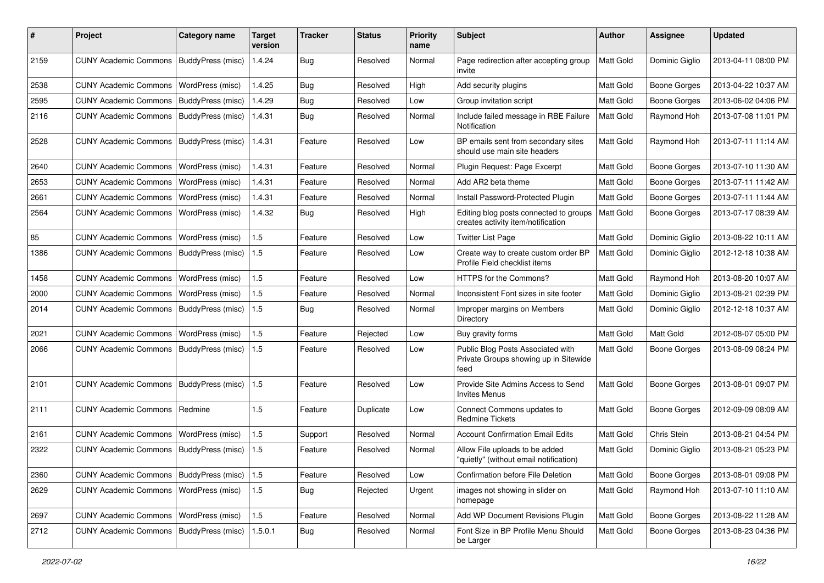| #    | Project                                   | <b>Category name</b> | Target<br>version | <b>Tracker</b> | <b>Status</b> | <b>Priority</b><br>name | Subject                                                                            | <b>Author</b>    | Assignee            | <b>Updated</b>      |
|------|-------------------------------------------|----------------------|-------------------|----------------|---------------|-------------------------|------------------------------------------------------------------------------------|------------------|---------------------|---------------------|
| 2159 | <b>CUNY Academic Commons</b>              | BuddyPress (misc)    | 1.4.24            | <b>Bug</b>     | Resolved      | Normal                  | Page redirection after accepting group<br>invite                                   | Matt Gold        | Dominic Giglio      | 2013-04-11 08:00 PM |
| 2538 | <b>CUNY Academic Commons</b>              | WordPress (misc)     | 1.4.25            | Bug            | Resolved      | High                    | Add security plugins                                                               | Matt Gold        | <b>Boone Gorges</b> | 2013-04-22 10:37 AM |
| 2595 | <b>CUNY Academic Commons</b>              | BuddyPress (misc)    | 1.4.29            | <b>Bug</b>     | Resolved      | Low                     | Group invitation script                                                            | Matt Gold        | <b>Boone Gorges</b> | 2013-06-02 04:06 PM |
| 2116 | <b>CUNY Academic Commons</b>              | BuddyPress (misc)    | 1.4.31            | Bug            | Resolved      | Normal                  | Include failed message in RBE Failure<br>Notification                              | Matt Gold        | Raymond Hoh         | 2013-07-08 11:01 PM |
| 2528 | <b>CUNY Academic Commons</b>              | BuddyPress (misc)    | 1.4.31            | Feature        | Resolved      | Low                     | BP emails sent from secondary sites<br>should use main site headers                | Matt Gold        | Raymond Hoh         | 2013-07-11 11:14 AM |
| 2640 | <b>CUNY Academic Commons</b>              | WordPress (misc)     | 1.4.31            | Feature        | Resolved      | Normal                  | Plugin Request: Page Excerpt                                                       | <b>Matt Gold</b> | <b>Boone Gorges</b> | 2013-07-10 11:30 AM |
| 2653 | <b>CUNY Academic Commons</b>              | WordPress (misc)     | 1.4.31            | Feature        | Resolved      | Normal                  | Add AR2 beta theme                                                                 | Matt Gold        | <b>Boone Gorges</b> | 2013-07-11 11:42 AM |
| 2661 | <b>CUNY Academic Commons</b>              | WordPress (misc)     | 1.4.31            | Feature        | Resolved      | Normal                  | Install Password-Protected Plugin                                                  | Matt Gold        | <b>Boone Gorges</b> | 2013-07-11 11:44 AM |
| 2564 | <b>CUNY Academic Commons</b>              | WordPress (misc)     | 1.4.32            | Bug            | Resolved      | High                    | Editing blog posts connected to groups<br>creates activity item/notification       | Matt Gold        | <b>Boone Gorges</b> | 2013-07-17 08:39 AM |
| 85   | <b>CUNY Academic Commons</b>              | WordPress (misc)     | 1.5               | Feature        | Resolved      | Low                     | <b>Twitter List Page</b>                                                           | Matt Gold        | Dominic Giglio      | 2013-08-22 10:11 AM |
| 1386 | <b>CUNY Academic Commons</b>              | BuddyPress (misc)    | 1.5               | Feature        | Resolved      | Low                     | Create way to create custom order BP<br>Profile Field checklist items              | Matt Gold        | Dominic Giglio      | 2012-12-18 10:38 AM |
| 1458 | <b>CUNY Academic Commons</b>              | WordPress (misc)     | 1.5               | Feature        | Resolved      | Low                     | HTTPS for the Commons?                                                             | <b>Matt Gold</b> | Raymond Hoh         | 2013-08-20 10:07 AM |
| 2000 | <b>CUNY Academic Commons</b>              | WordPress (misc)     | 1.5               | Feature        | Resolved      | Normal                  | Inconsistent Font sizes in site footer                                             | Matt Gold        | Dominic Giglio      | 2013-08-21 02:39 PM |
| 2014 | <b>CUNY Academic Commons</b>              | BuddyPress (misc)    | 1.5               | Bug            | Resolved      | Normal                  | Improper margins on Members<br>Directory                                           | Matt Gold        | Dominic Giglio      | 2012-12-18 10:37 AM |
| 2021 | <b>CUNY Academic Commons</b>              | WordPress (misc)     | 1.5               | Feature        | Rejected      | Low                     | Buy gravity forms                                                                  | <b>Matt Gold</b> | <b>Matt Gold</b>    | 2012-08-07 05:00 PM |
| 2066 | <b>CUNY Academic Commons</b>              | BuddyPress (misc)    | 1.5               | Feature        | Resolved      | Low                     | Public Blog Posts Associated with<br>Private Groups showing up in Sitewide<br>feed | Matt Gold        | Boone Gorges        | 2013-08-09 08:24 PM |
| 2101 | <b>CUNY Academic Commons</b>              | BuddyPress (misc)    | 1.5               | Feature        | Resolved      | Low                     | Provide Site Admins Access to Send<br><b>Invites Menus</b>                         | Matt Gold        | <b>Boone Gorges</b> | 2013-08-01 09:07 PM |
| 2111 | <b>CUNY Academic Commons</b>              | Redmine              | 1.5               | Feature        | Duplicate     | Low                     | Connect Commons updates to<br><b>Redmine Tickets</b>                               | Matt Gold        | <b>Boone Gorges</b> | 2012-09-09 08:09 AM |
| 2161 | <b>CUNY Academic Commons</b>              | WordPress (misc)     | 1.5               | Support        | Resolved      | Normal                  | <b>Account Confirmation Email Edits</b>                                            | Matt Gold        | Chris Stein         | 2013-08-21 04:54 PM |
| 2322 | <b>CUNY Academic Commons</b>              | BuddyPress (misc)    | 1.5               | Feature        | Resolved      | Normal                  | Allow File uploads to be added<br>"quietly" (without email notification)           | <b>Matt Gold</b> | Dominic Giglio      | 2013-08-21 05:23 PM |
| 2360 | CUNY Academic Commons   BuddyPress (misc) |                      | 1.5               | Feature        | Resolved      | Low                     | Confirmation before File Deletion                                                  | Matt Gold        | <b>Boone Gorges</b> | 2013-08-01 09:08 PM |
| 2629 | <b>CUNY Academic Commons</b>              | WordPress (misc)     | $1.5$             | Bug            | Rejected      | Urgent                  | images not showing in slider on<br>homepage                                        | Matt Gold        | Raymond Hoh         | 2013-07-10 11:10 AM |
| 2697 | <b>CUNY Academic Commons</b>              | WordPress (misc)     | 1.5               | Feature        | Resolved      | Normal                  | Add WP Document Revisions Plugin                                                   | Matt Gold        | Boone Gorges        | 2013-08-22 11:28 AM |
| 2712 | CUNY Academic Commons   BuddyPress (misc) |                      | 1.5.0.1           | <b>Bug</b>     | Resolved      | Normal                  | Font Size in BP Profile Menu Should<br>be Larger                                   | Matt Gold        | Boone Gorges        | 2013-08-23 04:36 PM |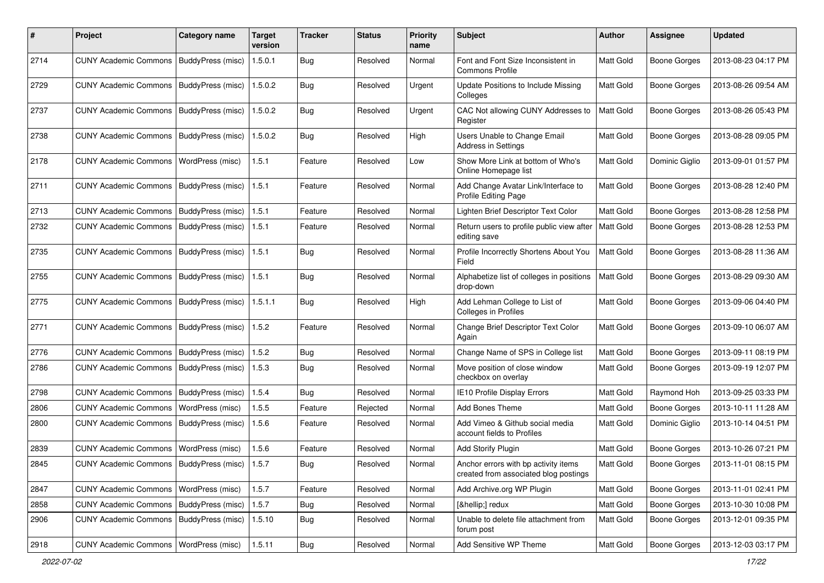| #    | Project                                           | <b>Category name</b> | Target<br>version | <b>Tracker</b> | <b>Status</b> | <b>Priority</b><br>name | <b>Subject</b>                                                                | <b>Author</b> | <b>Assignee</b>     | <b>Updated</b>      |
|------|---------------------------------------------------|----------------------|-------------------|----------------|---------------|-------------------------|-------------------------------------------------------------------------------|---------------|---------------------|---------------------|
| 2714 | <b>CUNY Academic Commons</b>                      | BuddyPress (misc)    | 1.5.0.1           | Bug            | Resolved      | Normal                  | Font and Font Size Inconsistent in<br><b>Commons Profile</b>                  | Matt Gold     | <b>Boone Gorges</b> | 2013-08-23 04:17 PM |
| 2729 | <b>CUNY Academic Commons</b>                      | BuddyPress (misc)    | 1.5.0.2           | Bug            | Resolved      | Urgent                  | Update Positions to Include Missing<br>Colleges                               | Matt Gold     | <b>Boone Gorges</b> | 2013-08-26 09:54 AM |
| 2737 | <b>CUNY Academic Commons</b>                      | BuddyPress (misc)    | 1.5.0.2           | Bug            | Resolved      | Urgent                  | CAC Not allowing CUNY Addresses to<br>Register                                | Matt Gold     | <b>Boone Gorges</b> | 2013-08-26 05:43 PM |
| 2738 | <b>CUNY Academic Commons</b>                      | BuddyPress (misc)    | 1.5.0.2           | Bug            | Resolved      | High                    | Users Unable to Change Email<br>Address in Settings                           | Matt Gold     | <b>Boone Gorges</b> | 2013-08-28 09:05 PM |
| 2178 | <b>CUNY Academic Commons</b>                      | WordPress (misc)     | 1.5.1             | Feature        | Resolved      | Low                     | Show More Link at bottom of Who's<br>Online Homepage list                     | Matt Gold     | Dominic Giglio      | 2013-09-01 01:57 PM |
| 2711 | <b>CUNY Academic Commons</b>                      | BuddyPress (misc)    | 1.5.1             | Feature        | Resolved      | Normal                  | Add Change Avatar Link/Interface to<br>Profile Editing Page                   | Matt Gold     | <b>Boone Gorges</b> | 2013-08-28 12:40 PM |
| 2713 | <b>CUNY Academic Commons</b>                      | BuddyPress (misc)    | 1.5.1             | Feature        | Resolved      | Normal                  | Lighten Brief Descriptor Text Color                                           | Matt Gold     | <b>Boone Gorges</b> | 2013-08-28 12:58 PM |
| 2732 | <b>CUNY Academic Commons</b>                      | BuddyPress (misc)    | 1.5.1             | Feature        | Resolved      | Normal                  | Return users to profile public view after<br>editing save                     | Matt Gold     | <b>Boone Gorges</b> | 2013-08-28 12:53 PM |
| 2735 | <b>CUNY Academic Commons</b>                      | BuddyPress (misc)    | 1.5.1             | Bug            | Resolved      | Normal                  | Profile Incorrectly Shortens About You<br>Field                               | Matt Gold     | <b>Boone Gorges</b> | 2013-08-28 11:36 AM |
| 2755 | <b>CUNY Academic Commons</b>                      | BuddyPress (misc)    | 1.5.1             | Bug            | Resolved      | Normal                  | Alphabetize list of colleges in positions<br>drop-down                        | Matt Gold     | <b>Boone Gorges</b> | 2013-08-29 09:30 AM |
| 2775 | <b>CUNY Academic Commons</b>                      | BuddyPress (misc)    | 1.5.1.1           | Bug            | Resolved      | High                    | Add Lehman College to List of<br><b>Colleges in Profiles</b>                  | Matt Gold     | <b>Boone Gorges</b> | 2013-09-06 04:40 PM |
| 2771 | <b>CUNY Academic Commons</b>                      | BuddyPress (misc)    | 1.5.2             | Feature        | Resolved      | Normal                  | Change Brief Descriptor Text Color<br>Again                                   | Matt Gold     | <b>Boone Gorges</b> | 2013-09-10 06:07 AM |
| 2776 | <b>CUNY Academic Commons</b>                      | BuddyPress (misc)    | 1.5.2             | Bug            | Resolved      | Normal                  | Change Name of SPS in College list                                            | Matt Gold     | <b>Boone Gorges</b> | 2013-09-11 08:19 PM |
| 2786 | <b>CUNY Academic Commons</b>                      | BuddyPress (misc)    | 1.5.3             | <b>Bug</b>     | Resolved      | Normal                  | Move position of close window<br>checkbox on overlay                          | Matt Gold     | <b>Boone Gorges</b> | 2013-09-19 12:07 PM |
| 2798 | <b>CUNY Academic Commons</b>                      | BuddyPress (misc)    | 1.5.4             | Bug            | Resolved      | Normal                  | IE10 Profile Display Errors                                                   | Matt Gold     | Raymond Hoh         | 2013-09-25 03:33 PM |
| 2806 | <b>CUNY Academic Commons</b>                      | WordPress (misc)     | 1.5.5             | Feature        | Rejected      | Normal                  | Add Bones Theme                                                               | Matt Gold     | <b>Boone Gorges</b> | 2013-10-11 11:28 AM |
| 2800 | <b>CUNY Academic Commons</b>                      | BuddyPress (misc)    | 1.5.6             | Feature        | Resolved      | Normal                  | Add Vimeo & Github social media<br>account fields to Profiles                 | Matt Gold     | Dominic Giglio      | 2013-10-14 04:51 PM |
| 2839 | <b>CUNY Academic Commons</b>                      | WordPress (misc)     | 1.5.6             | Feature        | Resolved      | Normal                  | Add Storify Plugin                                                            | Matt Gold     | <b>Boone Gorges</b> | 2013-10-26 07:21 PM |
| 2845 | CUNY Academic Commons   BuddyPress (misc)   1.5.7 |                      |                   | <b>Bug</b>     | Resolved      | Normal                  | Anchor errors with bp activity items<br>created from associated blog postings | Matt Gold     | Boone Gorges        | 2013-11-01 08:15 PM |
| 2847 | CUNY Academic Commons   WordPress (misc)          |                      | 1.5.7             | Feature        | Resolved      | Normal                  | Add Archive.org WP Plugin                                                     | Matt Gold     | <b>Boone Gorges</b> | 2013-11-01 02:41 PM |
| 2858 | <b>CUNY Academic Commons</b>                      | BuddyPress (misc)    | 1.5.7             | <b>Bug</b>     | Resolved      | Normal                  | […] redux                                                                     | Matt Gold     | <b>Boone Gorges</b> | 2013-10-30 10:08 PM |
| 2906 | CUNY Academic Commons   BuddyPress (misc)         |                      | 1.5.10            | Bug            | Resolved      | Normal                  | Unable to delete file attachment from<br>forum post                           | Matt Gold     | Boone Gorges        | 2013-12-01 09:35 PM |
| 2918 | CUNY Academic Commons   WordPress (misc)          |                      | 1.5.11            | Bug            | Resolved      | Normal                  | Add Sensitive WP Theme                                                        | Matt Gold     | <b>Boone Gorges</b> | 2013-12-03 03:17 PM |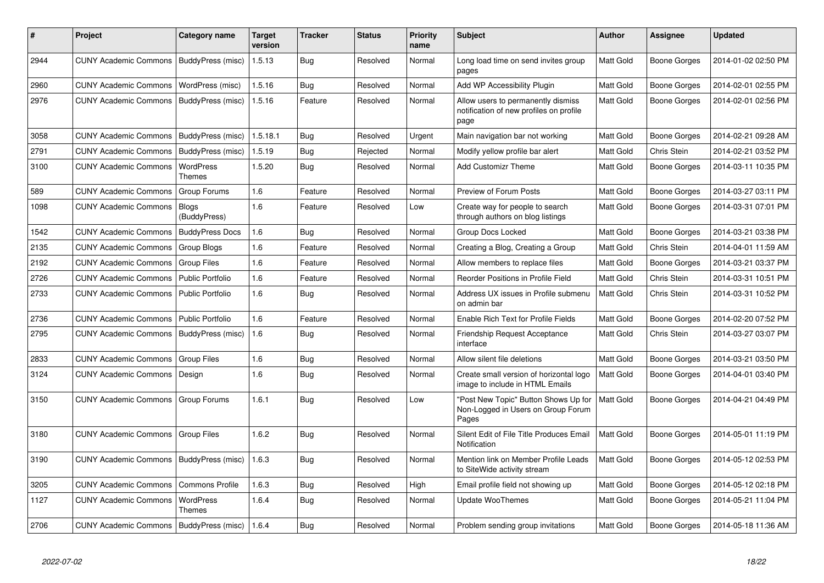| ∦    | Project                                   | Category name                     | <b>Target</b><br>version | Tracker    | <b>Status</b> | <b>Priority</b><br>name | <b>Subject</b>                                                                        | <b>Author</b>    | Assignee            | <b>Updated</b>      |
|------|-------------------------------------------|-----------------------------------|--------------------------|------------|---------------|-------------------------|---------------------------------------------------------------------------------------|------------------|---------------------|---------------------|
| 2944 | CUNY Academic Commons   BuddyPress (misc) |                                   | 1.5.13                   | <b>Bug</b> | Resolved      | Normal                  | Long load time on send invites group<br>pages                                         | Matt Gold        | Boone Gorges        | 2014-01-02 02:50 PM |
| 2960 | <b>CUNY Academic Commons</b>              | WordPress (misc)                  | 1.5.16                   | <b>Bug</b> | Resolved      | Normal                  | Add WP Accessibility Plugin                                                           | Matt Gold        | Boone Gorges        | 2014-02-01 02:55 PM |
| 2976 | <b>CUNY Academic Commons</b>              | BuddyPress (misc)                 | 1.5.16                   | Feature    | Resolved      | Normal                  | Allow users to permanently dismiss<br>notification of new profiles on profile<br>page | Matt Gold        | Boone Gorges        | 2014-02-01 02:56 PM |
| 3058 | <b>CUNY Academic Commons</b>              | BuddyPress (misc)                 | 1.5.18.1                 | Bug        | Resolved      | Urgent                  | Main navigation bar not working                                                       | Matt Gold        | Boone Gorges        | 2014-02-21 09:28 AM |
| 2791 | <b>CUNY Academic Commons</b>              | BuddyPress (misc)                 | 1.5.19                   | Bug        | Rejected      | Normal                  | Modify yellow profile bar alert                                                       | Matt Gold        | Chris Stein         | 2014-02-21 03:52 PM |
| 3100 | <b>CUNY Academic Commons</b>              | WordPress<br>Themes               | 1.5.20                   | <b>Bug</b> | Resolved      | Normal                  | <b>Add Customizr Theme</b>                                                            | Matt Gold        | Boone Gorges        | 2014-03-11 10:35 PM |
| 589  | <b>CUNY Academic Commons</b>              | Group Forums                      | 1.6                      | Feature    | Resolved      | Normal                  | Preview of Forum Posts                                                                | Matt Gold        | <b>Boone Gorges</b> | 2014-03-27 03:11 PM |
| 1098 | <b>CUNY Academic Commons</b>              | <b>Blogs</b><br>(BuddyPress)      | 1.6                      | Feature    | Resolved      | Low                     | Create way for people to search<br>through authors on blog listings                   | Matt Gold        | Boone Gorges        | 2014-03-31 07:01 PM |
| 1542 | <b>CUNY Academic Commons</b>              | <b>BuddyPress Docs</b>            | 1.6                      | Bug        | Resolved      | Normal                  | Group Docs Locked                                                                     | <b>Matt Gold</b> | Boone Gorges        | 2014-03-21 03:38 PM |
| 2135 | <b>CUNY Academic Commons</b>              | Group Blogs                       | 1.6                      | Feature    | Resolved      | Normal                  | Creating a Blog, Creating a Group                                                     | Matt Gold        | Chris Stein         | 2014-04-01 11:59 AM |
| 2192 | <b>CUNY Academic Commons</b>              | <b>Group Files</b>                | 1.6                      | Feature    | Resolved      | Normal                  | Allow members to replace files                                                        | Matt Gold        | Boone Gorges        | 2014-03-21 03:37 PM |
| 2726 | <b>CUNY Academic Commons</b>              | <b>Public Portfolio</b>           | 1.6                      | Feature    | Resolved      | Normal                  | Reorder Positions in Profile Field                                                    | Matt Gold        | Chris Stein         | 2014-03-31 10:51 PM |
| 2733 | <b>CUNY Academic Commons</b>              | Public Portfolio                  | 1.6                      | <b>Bug</b> | Resolved      | Normal                  | Address UX issues in Profile submenu<br>on admin bar                                  | Matt Gold        | Chris Stein         | 2014-03-31 10:52 PM |
| 2736 | <b>CUNY Academic Commons</b>              | <b>Public Portfolio</b>           | 1.6                      | Feature    | Resolved      | Normal                  | Enable Rich Text for Profile Fields                                                   | Matt Gold        | Boone Gorges        | 2014-02-20 07:52 PM |
| 2795 | <b>CUNY Academic Commons</b>              | BuddyPress (misc)                 | 1.6                      | Bug        | Resolved      | Normal                  | Friendship Request Acceptance<br>interface                                            | Matt Gold        | Chris Stein         | 2014-03-27 03:07 PM |
| 2833 | <b>CUNY Academic Commons</b>              | <b>Group Files</b>                | 1.6                      | <b>Bug</b> | Resolved      | Normal                  | Allow silent file deletions                                                           | Matt Gold        | Boone Gorges        | 2014-03-21 03:50 PM |
| 3124 | <b>CUNY Academic Commons</b>              | Design                            | 1.6                      | <b>Bug</b> | Resolved      | Normal                  | Create small version of horizontal logo<br>image to include in HTML Emails            | Matt Gold        | Boone Gorges        | 2014-04-01 03:40 PM |
| 3150 | <b>CUNY Academic Commons</b>              | Group Forums                      | 1.6.1                    | Bug        | Resolved      | Low                     | "Post New Topic" Button Shows Up for<br>Non-Logged in Users on Group Forum<br>Pages   | Matt Gold        | Boone Gorges        | 2014-04-21 04:49 PM |
| 3180 | <b>CUNY Academic Commons</b>              | <b>Group Files</b>                | 1.6.2                    | Bug        | Resolved      | Normal                  | Silent Edit of File Title Produces Email<br>Notification                              | Matt Gold        | <b>Boone Gorges</b> | 2014-05-01 11:19 PM |
| 3190 | <b>CUNY Academic Commons</b>              | BuddyPress (misc)                 | 1.6.3                    | <b>Bug</b> | Resolved      | Normal                  | Mention link on Member Profile Leads<br>to SiteWide activity stream                   | Matt Gold        | Boone Gorges        | 2014-05-12 02:53 PM |
| 3205 | <b>CUNY Academic Commons</b>              | <b>Commons Profile</b>            | 1.6.3                    | <b>Bug</b> | Resolved      | High                    | Email profile field not showing up                                                    | Matt Gold        | Boone Gorges        | 2014-05-12 02:18 PM |
| 1127 | <b>CUNY Academic Commons</b>              | <b>WordPress</b><br><b>Themes</b> | 1.6.4                    | Bug        | Resolved      | Normal                  | Update WooThemes                                                                      | Matt Gold        | Boone Gorges        | 2014-05-21 11:04 PM |
| 2706 | <b>CUNY Academic Commons</b>              | BuddyPress (misc) 1.6.4           |                          | Bug        | Resolved      | Normal                  | Problem sending group invitations                                                     | <b>Matt Gold</b> | <b>Boone Gorges</b> | 2014-05-18 11:36 AM |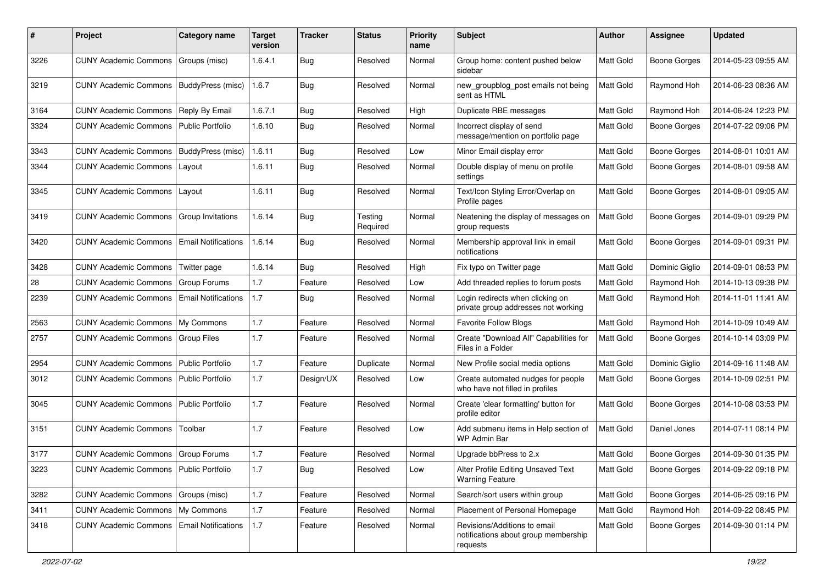| #    | Project                                            | <b>Category name</b>       | <b>Target</b><br>version | Tracker    | <b>Status</b>       | Priority<br>name | <b>Subject</b>                                                                   | <b>Author</b>    | <b>Assignee</b>     | <b>Updated</b>      |
|------|----------------------------------------------------|----------------------------|--------------------------|------------|---------------------|------------------|----------------------------------------------------------------------------------|------------------|---------------------|---------------------|
| 3226 | <b>CUNY Academic Commons</b>                       | Groups (misc)              | 1.6.4.1                  | Bug        | Resolved            | Normal           | Group home: content pushed below<br>sidebar                                      | Matt Gold        | <b>Boone Gorges</b> | 2014-05-23 09:55 AM |
| 3219 | <b>CUNY Academic Commons</b>                       | BuddyPress (misc)          | 1.6.7                    | <b>Bug</b> | Resolved            | Normal           | new_groupblog_post emails not being<br>sent as HTML                              | Matt Gold        | Raymond Hoh         | 2014-06-23 08:36 AM |
| 3164 | <b>CUNY Academic Commons</b>                       | Reply By Email             | 1.6.7.1                  | Bug        | Resolved            | High             | Duplicate RBE messages                                                           | Matt Gold        | Raymond Hoh         | 2014-06-24 12:23 PM |
| 3324 | <b>CUNY Academic Commons</b>                       | <b>Public Portfolio</b>    | 1.6.10                   | <b>Bug</b> | Resolved            | Normal           | Incorrect display of send<br>message/mention on portfolio page                   | Matt Gold        | <b>Boone Gorges</b> | 2014-07-22 09:06 PM |
| 3343 | <b>CUNY Academic Commons</b>                       | BuddyPress (misc)          | 1.6.11                   | Bug        | Resolved            | Low              | Minor Email display error                                                        | Matt Gold        | <b>Boone Gorges</b> | 2014-08-01 10:01 AM |
| 3344 | <b>CUNY Academic Commons</b>                       | Layout                     | 1.6.11                   | Bug        | Resolved            | Normal           | Double display of menu on profile<br>settings                                    | Matt Gold        | <b>Boone Gorges</b> | 2014-08-01 09:58 AM |
| 3345 | <b>CUNY Academic Commons</b>                       | Layout                     | 1.6.11                   | <b>Bug</b> | Resolved            | Normal           | Text/Icon Styling Error/Overlap on<br>Profile pages                              | Matt Gold        | <b>Boone Gorges</b> | 2014-08-01 09:05 AM |
| 3419 | <b>CUNY Academic Commons</b>                       | Group Invitations          | 1.6.14                   | Bug        | Testing<br>Required | Normal           | Neatening the display of messages on<br>group requests                           | Matt Gold        | <b>Boone Gorges</b> | 2014-09-01 09:29 PM |
| 3420 | <b>CUNY Academic Commons</b>                       | <b>Email Notifications</b> | 1.6.14                   | Bug        | Resolved            | Normal           | Membership approval link in email<br>notifications                               | Matt Gold        | <b>Boone Gorges</b> | 2014-09-01 09:31 PM |
| 3428 | <b>CUNY Academic Commons</b>                       | Twitter page               | 1.6.14                   | Bug        | Resolved            | High             | Fix typo on Twitter page                                                         | Matt Gold        | Dominic Giglio      | 2014-09-01 08:53 PM |
| 28   | <b>CUNY Academic Commons</b>                       | Group Forums               | 1.7                      | Feature    | Resolved            | Low              | Add threaded replies to forum posts                                              | Matt Gold        | Raymond Hoh         | 2014-10-13 09:38 PM |
| 2239 | <b>CUNY Academic Commons</b>                       | <b>Email Notifications</b> | 1.7                      | <b>Bug</b> | Resolved            | Normal           | Login redirects when clicking on<br>private group addresses not working          | Matt Gold        | Raymond Hoh         | 2014-11-01 11:41 AM |
| 2563 | <b>CUNY Academic Commons</b>                       | My Commons                 | 1.7                      | Feature    | Resolved            | Normal           | Favorite Follow Blogs                                                            | Matt Gold        | Raymond Hoh         | 2014-10-09 10:49 AM |
| 2757 | <b>CUNY Academic Commons</b>                       | Group Files                | 1.7                      | Feature    | Resolved            | Normal           | Create "Download All" Capabilities for<br>Files in a Folder                      | Matt Gold        | <b>Boone Gorges</b> | 2014-10-14 03:09 PM |
| 2954 | <b>CUNY Academic Commons</b>                       | <b>Public Portfolio</b>    | 1.7                      | Feature    | Duplicate           | Normal           | New Profile social media options                                                 | Matt Gold        | Dominic Giglio      | 2014-09-16 11:48 AM |
| 3012 | <b>CUNY Academic Commons</b>                       | Public Portfolio           | 1.7                      | Design/UX  | Resolved            | Low              | Create automated nudges for people<br>who have not filled in profiles            | Matt Gold        | <b>Boone Gorges</b> | 2014-10-09 02:51 PM |
| 3045 | <b>CUNY Academic Commons</b>                       | <b>Public Portfolio</b>    | 1.7                      | Feature    | Resolved            | Normal           | Create 'clear formatting' button for<br>profile editor                           | Matt Gold        | <b>Boone Gorges</b> | 2014-10-08 03:53 PM |
| 3151 | <b>CUNY Academic Commons</b>                       | Toolbar                    | 1.7                      | Feature    | Resolved            | Low              | Add submenu items in Help section of<br>WP Admin Bar                             | Matt Gold        | Daniel Jones        | 2014-07-11 08:14 PM |
| 3177 | <b>CUNY Academic Commons</b>                       | <b>Group Forums</b>        | 1.7                      | Feature    | Resolved            | Normal           | Upgrade bbPress to 2.x                                                           | <b>Matt Gold</b> | <b>Boone Gorges</b> | 2014-09-30 01:35 PM |
| 3223 | CUNY Academic Commons   Public Portfolio           |                            | 1.7                      | Bug        | Resolved            | Low              | Alter Profile Editing Unsaved Text<br><b>Warning Feature</b>                     | <b>Matt Gold</b> | Boone Gorges        | 2014-09-22 09:18 PM |
| 3282 | CUNY Academic Commons   Groups (misc)              |                            | 1.7                      | Feature    | Resolved            | Normal           | Search/sort users within group                                                   | Matt Gold        | Boone Gorges        | 2014-06-25 09:16 PM |
| 3411 | <b>CUNY Academic Commons</b>                       | My Commons                 | 1.7                      | Feature    | Resolved            | Normal           | Placement of Personal Homepage                                                   | Matt Gold        | Raymond Hoh         | 2014-09-22 08:45 PM |
| 3418 | <b>CUNY Academic Commons   Email Notifications</b> |                            | 1.7                      | Feature    | Resolved            | Normal           | Revisions/Additions to email<br>notifications about group membership<br>requests | Matt Gold        | <b>Boone Gorges</b> | 2014-09-30 01:14 PM |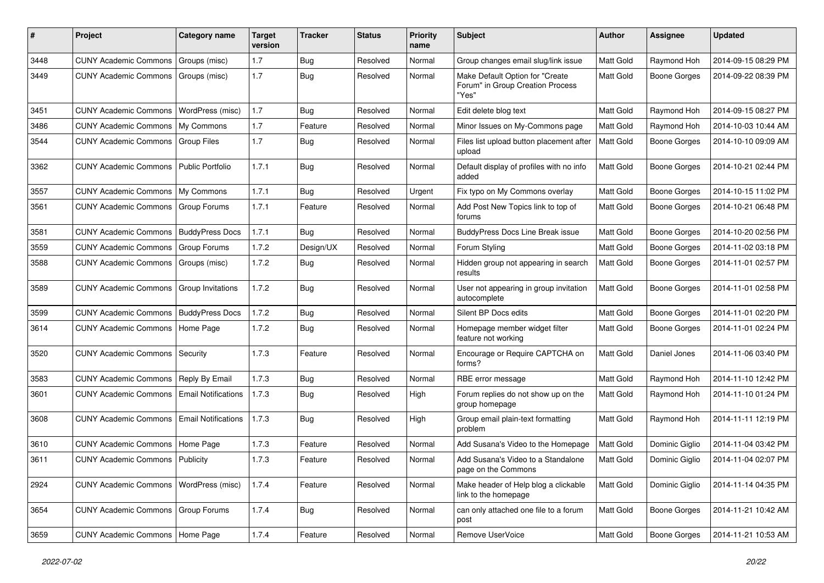| #    | Project                                  | <b>Category name</b>       | <b>Target</b><br>version | <b>Tracker</b> | <b>Status</b> | <b>Priority</b><br>name | Subject                                                                      | <b>Author</b>    | <b>Assignee</b>     | <b>Updated</b>      |
|------|------------------------------------------|----------------------------|--------------------------|----------------|---------------|-------------------------|------------------------------------------------------------------------------|------------------|---------------------|---------------------|
| 3448 | <b>CUNY Academic Commons</b>             | Groups (misc)              | 1.7                      | Bug            | Resolved      | Normal                  | Group changes email slug/link issue                                          | Matt Gold        | Raymond Hoh         | 2014-09-15 08:29 PM |
| 3449 | <b>CUNY Academic Commons</b>             | Groups (misc)              | 1.7                      | Bug            | Resolved      | Normal                  | Make Default Option for "Create<br>Forum" in Group Creation Process<br>"Yes" | <b>Matt Gold</b> | Boone Gorges        | 2014-09-22 08:39 PM |
| 3451 | <b>CUNY Academic Commons</b>             | WordPress (misc)           | 1.7                      | <b>Bug</b>     | Resolved      | Normal                  | Edit delete blog text                                                        | Matt Gold        | Raymond Hoh         | 2014-09-15 08:27 PM |
| 3486 | <b>CUNY Academic Commons</b>             | My Commons                 | 1.7                      | Feature        | Resolved      | Normal                  | Minor Issues on My-Commons page                                              | Matt Gold        | Raymond Hoh         | 2014-10-03 10:44 AM |
| 3544 | <b>CUNY Academic Commons</b>             | Group Files                | 1.7                      | Bug            | Resolved      | Normal                  | Files list upload button placement after<br>upload                           | Matt Gold        | Boone Gorges        | 2014-10-10 09:09 AM |
| 3362 | <b>CUNY Academic Commons</b>             | Public Portfolio           | 1.7.1                    | Bug            | Resolved      | Normal                  | Default display of profiles with no info<br>added                            | <b>Matt Gold</b> | <b>Boone Gorges</b> | 2014-10-21 02:44 PM |
| 3557 | <b>CUNY Academic Commons</b>             | My Commons                 | 1.7.1                    | <b>Bug</b>     | Resolved      | Urgent                  | Fix typo on My Commons overlay                                               | Matt Gold        | <b>Boone Gorges</b> | 2014-10-15 11:02 PM |
| 3561 | <b>CUNY Academic Commons</b>             | Group Forums               | 1.7.1                    | Feature        | Resolved      | Normal                  | Add Post New Topics link to top of<br>forums                                 | Matt Gold        | Boone Gorges        | 2014-10-21 06:48 PM |
| 3581 | <b>CUNY Academic Commons</b>             | <b>BuddyPress Docs</b>     | 1.7.1                    | Bug            | Resolved      | Normal                  | <b>BuddyPress Docs Line Break issue</b>                                      | Matt Gold        | <b>Boone Gorges</b> | 2014-10-20 02:56 PM |
| 3559 | <b>CUNY Academic Commons</b>             | <b>Group Forums</b>        | 1.7.2                    | Design/UX      | Resolved      | Normal                  | Forum Styling                                                                | Matt Gold        | Boone Gorges        | 2014-11-02 03:18 PM |
| 3588 | <b>CUNY Academic Commons</b>             | Groups (misc)              | 1.7.2                    | Bug            | Resolved      | Normal                  | Hidden group not appearing in search<br>results                              | Matt Gold        | <b>Boone Gorges</b> | 2014-11-01 02:57 PM |
| 3589 | <b>CUNY Academic Commons</b>             | Group Invitations          | 1.7.2                    | <b>Bug</b>     | Resolved      | Normal                  | User not appearing in group invitation<br>autocomplete                       | Matt Gold        | Boone Gorges        | 2014-11-01 02:58 PM |
| 3599 | <b>CUNY Academic Commons</b>             | <b>BuddyPress Docs</b>     | 1.7.2                    | Bug            | Resolved      | Normal                  | Silent BP Docs edits                                                         | Matt Gold        | <b>Boone Gorges</b> | 2014-11-01 02:20 PM |
| 3614 | <b>CUNY Academic Commons</b>             | Home Page                  | 1.7.2                    | Bug            | Resolved      | Normal                  | Homepage member widget filter<br>feature not working                         | Matt Gold        | Boone Gorges        | 2014-11-01 02:24 PM |
| 3520 | <b>CUNY Academic Commons</b>             | Security                   | 1.7.3                    | Feature        | Resolved      | Normal                  | Encourage or Require CAPTCHA on<br>forms?                                    | Matt Gold        | Daniel Jones        | 2014-11-06 03:40 PM |
| 3583 | <b>CUNY Academic Commons</b>             | Reply By Email             | 1.7.3                    | Bug            | Resolved      | Normal                  | RBE error message                                                            | Matt Gold        | Raymond Hoh         | 2014-11-10 12:42 PM |
| 3601 | <b>CUNY Academic Commons</b>             | <b>Email Notifications</b> | 1.7.3                    | Bug            | Resolved      | High                    | Forum replies do not show up on the<br>group homepage                        | Matt Gold        | Raymond Hoh         | 2014-11-10 01:24 PM |
| 3608 | <b>CUNY Academic Commons</b>             | <b>Email Notifications</b> | 1.7.3                    | Bug            | Resolved      | High                    | Group email plain-text formatting<br>problem                                 | <b>Matt Gold</b> | Raymond Hoh         | 2014-11-11 12:19 PM |
| 3610 | <b>CUNY Academic Commons</b>             | Home Page                  | 1.7.3                    | Feature        | Resolved      | Normal                  | Add Susana's Video to the Homepage                                           | Matt Gold        | Dominic Giglio      | 2014-11-04 03:42 PM |
| 3611 | <b>CUNY Academic Commons   Publicity</b> |                            | 1.7.3                    | Feature        | Resolved      | Normal                  | Add Susana's Video to a Standalone<br>page on the Commons                    | Matt Gold        | Dominic Giglio      | 2014-11-04 02:07 PM |
| 2924 | CUNY Academic Commons   WordPress (misc) |                            | 1.7.4                    | Feature        | Resolved      | Normal                  | Make header of Help blog a clickable<br>link to the homepage                 | Matt Gold        | Dominic Giglio      | 2014-11-14 04:35 PM |
| 3654 | <b>CUNY Academic Commons</b>             | Group Forums               | 1.7.4                    | Bug            | Resolved      | Normal                  | can only attached one file to a forum<br>post                                | Matt Gold        | Boone Gorges        | 2014-11-21 10:42 AM |
| 3659 | CUNY Academic Commons   Home Page        |                            | 1.7.4                    | Feature        | Resolved      | Normal                  | Remove UserVoice                                                             | Matt Gold        | <b>Boone Gorges</b> | 2014-11-21 10:53 AM |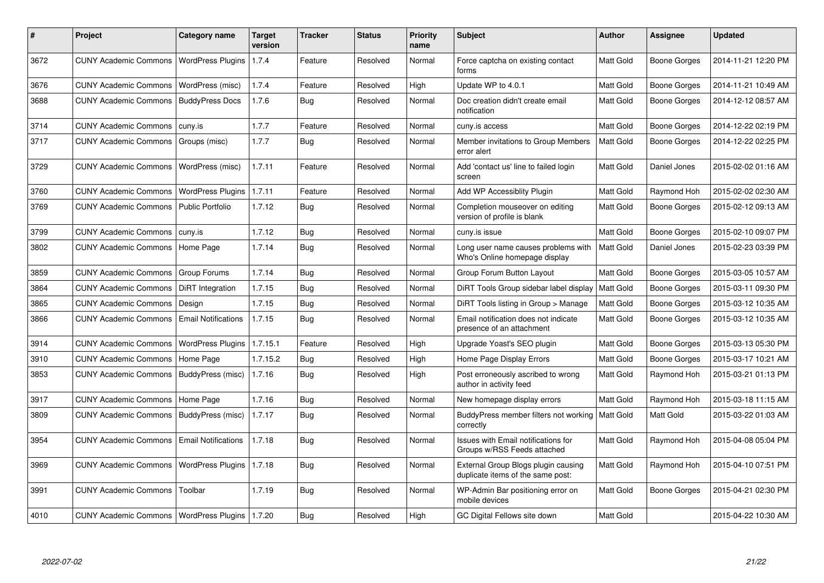| $\sharp$ | Project                                   | Category name              | <b>Target</b><br>version | Tracker    | <b>Status</b> | <b>Priority</b><br>name | <b>Subject</b>                                                           | <b>Author</b>    | <b>Assignee</b>     | <b>Updated</b>      |
|----------|-------------------------------------------|----------------------------|--------------------------|------------|---------------|-------------------------|--------------------------------------------------------------------------|------------------|---------------------|---------------------|
| 3672     | <b>CUNY Academic Commons</b>              | <b>WordPress Plugins</b>   | 1.7.4                    | Feature    | Resolved      | Normal                  | Force captcha on existing contact<br>forms                               | Matt Gold        | <b>Boone Gorges</b> | 2014-11-21 12:20 PM |
| 3676     | <b>CUNY Academic Commons</b>              | WordPress (misc)           | 1.7.4                    | Feature    | Resolved      | High                    | Update WP to 4.0.1                                                       | Matt Gold        | <b>Boone Gorges</b> | 2014-11-21 10:49 AM |
| 3688     | <b>CUNY Academic Commons</b>              | <b>BuddyPress Docs</b>     | 1.7.6                    | Bug        | Resolved      | Normal                  | Doc creation didn't create email<br>notification                         | Matt Gold        | <b>Boone Gorges</b> | 2014-12-12 08:57 AM |
| 3714     | <b>CUNY Academic Commons</b>              | cuny.is                    | 1.7.7                    | Feature    | Resolved      | Normal                  | cuny.is access                                                           | Matt Gold        | <b>Boone Gorges</b> | 2014-12-22 02:19 PM |
| 3717     | <b>CUNY Academic Commons</b>              | Groups (misc)              | 1.7.7                    | Bug        | Resolved      | Normal                  | Member invitations to Group Members<br>error alert                       | Matt Gold        | Boone Gorges        | 2014-12-22 02:25 PM |
| 3729     | <b>CUNY Academic Commons</b>              | WordPress (misc)           | 1.7.11                   | Feature    | Resolved      | Normal                  | Add 'contact us' line to failed login<br>screen                          | Matt Gold        | Daniel Jones        | 2015-02-02 01:16 AM |
| 3760     | <b>CUNY Academic Commons</b>              | <b>WordPress Plugins</b>   | 1.7.11                   | Feature    | Resolved      | Normal                  | Add WP Accessiblity Plugin                                               | Matt Gold        | Raymond Hoh         | 2015-02-02 02:30 AM |
| 3769     | <b>CUNY Academic Commons</b>              | <b>Public Portfolio</b>    | 1.7.12                   | Bug        | Resolved      | Normal                  | Completion mouseover on editing<br>version of profile is blank           | Matt Gold        | Boone Gorges        | 2015-02-12 09:13 AM |
| 3799     | <b>CUNY Academic Commons</b>              | cuny.is                    | 1.7.12                   | Bug        | Resolved      | Normal                  | cuny.is issue                                                            | Matt Gold        | <b>Boone Gorges</b> | 2015-02-10 09:07 PM |
| 3802     | <b>CUNY Academic Commons</b>              | Home Page                  | 1.7.14                   | <b>Bug</b> | Resolved      | Normal                  | Long user name causes problems with<br>Who's Online homepage display     | Matt Gold        | Daniel Jones        | 2015-02-23 03:39 PM |
| 3859     | <b>CUNY Academic Commons</b>              | <b>Group Forums</b>        | 1.7.14                   | Bug        | Resolved      | Normal                  | Group Forum Button Layout                                                | Matt Gold        | Boone Gorges        | 2015-03-05 10:57 AM |
| 3864     | <b>CUNY Academic Commons</b>              | DiRT Integration           | 1.7.15                   | Bug        | Resolved      | Normal                  | DiRT Tools Group sidebar label display                                   | Matt Gold        | <b>Boone Gorges</b> | 2015-03-11 09:30 PM |
| 3865     | <b>CUNY Academic Commons</b>              | Design                     | 1.7.15                   | Bug        | Resolved      | Normal                  | DiRT Tools listing in Group > Manage                                     | Matt Gold        | <b>Boone Gorges</b> | 2015-03-12 10:35 AM |
| 3866     | <b>CUNY Academic Commons</b>              | <b>Email Notifications</b> | 1.7.15                   | Bug        | Resolved      | Normal                  | Email notification does not indicate<br>presence of an attachment        | Matt Gold        | <b>Boone Gorges</b> | 2015-03-12 10:35 AM |
| 3914     | <b>CUNY Academic Commons</b>              | <b>WordPress Plugins</b>   | 1.7.15.1                 | Feature    | Resolved      | High                    | Upgrade Yoast's SEO plugin                                               | Matt Gold        | <b>Boone Gorges</b> | 2015-03-13 05:30 PM |
| 3910     | <b>CUNY Academic Commons</b>              | Home Page                  | 1.7.15.2                 | <b>Bug</b> | Resolved      | High                    | Home Page Display Errors                                                 | Matt Gold        | Boone Gorges        | 2015-03-17 10:21 AM |
| 3853     | <b>CUNY Academic Commons</b>              | BuddyPress (misc)          | 1.7.16                   | <b>Bug</b> | Resolved      | High                    | Post erroneously ascribed to wrong<br>author in activity feed            | Matt Gold        | Raymond Hoh         | 2015-03-21 01:13 PM |
| 3917     | <b>CUNY Academic Commons</b>              | Home Page                  | 1.7.16                   | Bug        | Resolved      | Normal                  | New homepage display errors                                              | Matt Gold        | Raymond Hoh         | 2015-03-18 11:15 AM |
| 3809     | <b>CUNY Academic Commons</b>              | BuddyPress (misc)          | 1.7.17                   | <b>Bug</b> | Resolved      | Normal                  | BuddyPress member filters not working<br>correctly                       | <b>Matt Gold</b> | Matt Gold           | 2015-03-22 01:03 AM |
| 3954     | <b>CUNY Academic Commons</b>              | <b>Email Notifications</b> | 1.7.18                   | Bug        | Resolved      | Normal                  | Issues with Email notifications for<br>Groups w/RSS Feeds attached       | Matt Gold        | Raymond Hoh         | 2015-04-08 05:04 PM |
| 3969     | <b>CUNY Academic Commons</b>              | WordPress Plugins   1.7.18 |                          | <b>Bug</b> | Resolved      | Normal                  | External Group Blogs plugin causing<br>duplicate items of the same post: | Matt Gold        | Raymond Hoh         | 2015-04-10 07:51 PM |
| 3991     | <b>CUNY Academic Commons</b>              | Toolbar                    | 1.7.19                   | <b>Bug</b> | Resolved      | Normal                  | WP-Admin Bar positioning error on<br>mobile devices                      | Matt Gold        | Boone Gorges        | 2015-04-21 02:30 PM |
| 4010     | CUNY Academic Commons   WordPress Plugins |                            | 1.7.20                   | Bug        | Resolved      | High                    | GC Digital Fellows site down                                             | Matt Gold        |                     | 2015-04-22 10:30 AM |